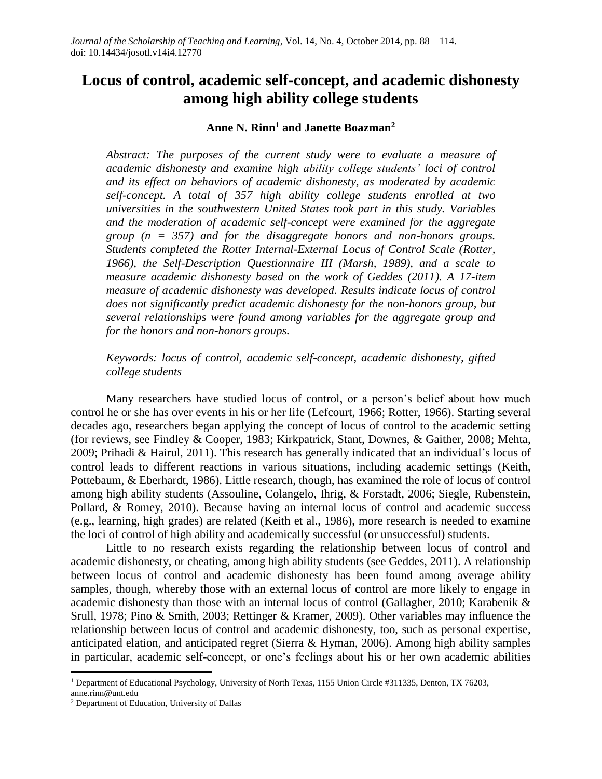# **Locus of control, academic self-concept, and academic dishonesty among high ability college students**

### **Anne N. Rinn<sup>1</sup> and Janette Boazman<sup>2</sup>**

*Abstract: The purposes of the current study were to evaluate a measure of academic dishonesty and examine high ability college students' loci of control and its effect on behaviors of academic dishonesty, as moderated by academic self-concept. A total of 357 high ability college students enrolled at two universities in the southwestern United States took part in this study. Variables and the moderation of academic self-concept were examined for the aggregate group (n = 357) and for the disaggregate honors and non-honors groups. Students completed the Rotter Internal-External Locus of Control Scale (Rotter, 1966), the Self-Description Questionnaire III (Marsh, 1989), and a scale to measure academic dishonesty based on the work of Geddes (2011). A 17-item measure of academic dishonesty was developed. Results indicate locus of control does not significantly predict academic dishonesty for the non-honors group, but several relationships were found among variables for the aggregate group and for the honors and non-honors groups.* 

*Keywords: locus of control, academic self-concept, academic dishonesty, gifted college students*

Many researchers have studied locus of control, or a person's belief about how much control he or she has over events in his or her life (Lefcourt, 1966; Rotter, 1966). Starting several decades ago, researchers began applying the concept of locus of control to the academic setting (for reviews, see Findley & Cooper, 1983; Kirkpatrick, Stant, Downes, & Gaither, 2008; Mehta, 2009; Prihadi & Hairul, 2011). This research has generally indicated that an individual's locus of control leads to different reactions in various situations, including academic settings (Keith, Pottebaum, & Eberhardt, 1986). Little research, though, has examined the role of locus of control among high ability students (Assouline, Colangelo, Ihrig, & Forstadt, 2006; Siegle, Rubenstein, Pollard, & Romey, 2010). Because having an internal locus of control and academic success (e.g., learning, high grades) are related (Keith et al., 1986), more research is needed to examine the loci of control of high ability and academically successful (or unsuccessful) students.

Little to no research exists regarding the relationship between locus of control and academic dishonesty, or cheating, among high ability students (see Geddes, 2011). A relationship between locus of control and academic dishonesty has been found among average ability samples, though, whereby those with an external locus of control are more likely to engage in academic dishonesty than those with an internal locus of control (Gallagher, 2010; Karabenik & Srull, 1978; Pino & Smith, 2003; Rettinger & Kramer, 2009). Other variables may influence the relationship between locus of control and academic dishonesty, too, such as personal expertise, anticipated elation, and anticipated regret (Sierra & Hyman, 2006). Among high ability samples in particular, academic self-concept, or one's feelings about his or her own academic abilities

 $\overline{a}$ 

<sup>&</sup>lt;sup>1</sup> Department of Educational Psychology, University of North Texas, 1155 Union Circle #311335, Denton, TX 76203,

anne.rinn@unt.edu

<sup>2</sup> Department of Education, University of Dallas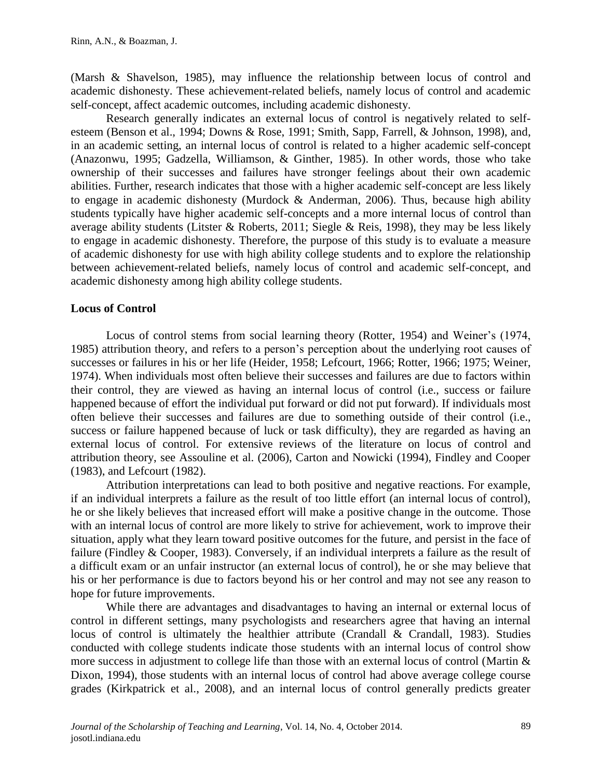(Marsh & Shavelson, 1985), may influence the relationship between locus of control and academic dishonesty. These achievement-related beliefs, namely locus of control and academic self-concept, affect academic outcomes, including academic dishonesty.

Research generally indicates an external locus of control is negatively related to selfesteem (Benson et al., 1994; Downs & Rose, 1991; Smith, Sapp, Farrell, & Johnson, 1998), and, in an academic setting, an internal locus of control is related to a higher academic self-concept (Anazonwu, 1995; Gadzella, Williamson, & Ginther, 1985). In other words, those who take ownership of their successes and failures have stronger feelings about their own academic abilities. Further, research indicates that those with a higher academic self-concept are less likely to engage in academic dishonesty (Murdock & Anderman, 2006). Thus, because high ability students typically have higher academic self-concepts and a more internal locus of control than average ability students (Litster & Roberts, 2011; Siegle & Reis, 1998), they may be less likely to engage in academic dishonesty. Therefore, the purpose of this study is to evaluate a measure of academic dishonesty for use with high ability college students and to explore the relationship between achievement-related beliefs, namely locus of control and academic self-concept, and academic dishonesty among high ability college students.

# **Locus of Control**

Locus of control stems from social learning theory (Rotter, 1954) and Weiner's (1974, 1985) attribution theory, and refers to a person's perception about the underlying root causes of successes or failures in his or her life (Heider, 1958; Lefcourt, 1966; Rotter, 1966; 1975; Weiner, 1974). When individuals most often believe their successes and failures are due to factors within their control, they are viewed as having an internal locus of control (i.e., success or failure happened because of effort the individual put forward or did not put forward). If individuals most often believe their successes and failures are due to something outside of their control (i.e., success or failure happened because of luck or task difficulty), they are regarded as having an external locus of control. For extensive reviews of the literature on locus of control and attribution theory, see Assouline et al. (2006), Carton and Nowicki (1994), Findley and Cooper (1983), and Lefcourt (1982).

Attribution interpretations can lead to both positive and negative reactions. For example, if an individual interprets a failure as the result of too little effort (an internal locus of control), he or she likely believes that increased effort will make a positive change in the outcome. Those with an internal locus of control are more likely to strive for achievement, work to improve their situation, apply what they learn toward positive outcomes for the future, and persist in the face of failure (Findley & Cooper, 1983). Conversely, if an individual interprets a failure as the result of a difficult exam or an unfair instructor (an external locus of control), he or she may believe that his or her performance is due to factors beyond his or her control and may not see any reason to hope for future improvements.

While there are advantages and disadvantages to having an internal or external locus of control in different settings, many psychologists and researchers agree that having an internal locus of control is ultimately the healthier attribute (Crandall & Crandall, 1983). Studies conducted with college students indicate those students with an internal locus of control show more success in adjustment to college life than those with an external locus of control (Martin & Dixon, 1994), those students with an internal locus of control had above average college course grades (Kirkpatrick et al., 2008), and an internal locus of control generally predicts greater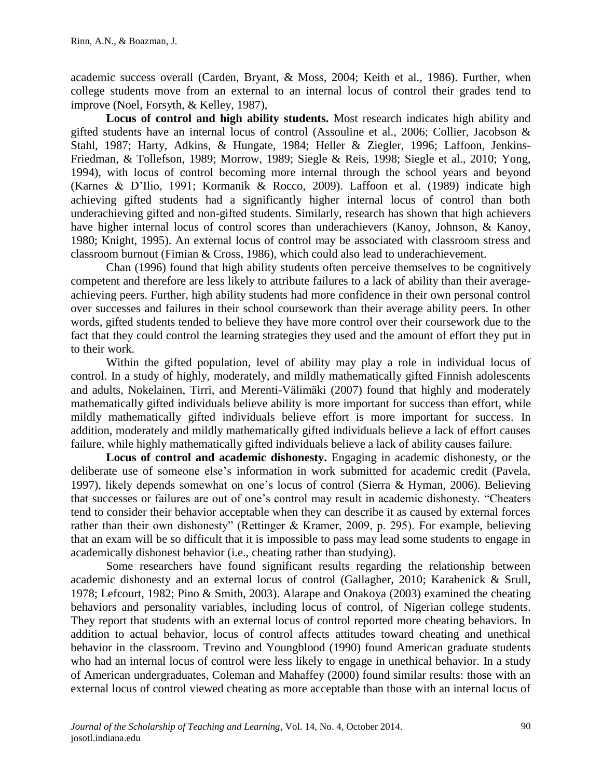academic success overall (Carden, Bryant, & Moss, 2004; Keith et al., 1986). Further, when college students move from an external to an internal locus of control their grades tend to improve (Noel, Forsyth, & Kelley, 1987),

**Locus of control and high ability students.** Most research indicates high ability and gifted students have an internal locus of control (Assouline et al., 2006; Collier, Jacobson & Stahl, 1987; Harty, Adkins, & Hungate, 1984; Heller & Ziegler, 1996; Laffoon, Jenkins-Friedman, & Tollefson, 1989; Morrow, 1989; Siegle & Reis, 1998; Siegle et al., 2010; Yong, 1994), with locus of control becoming more internal through the school years and beyond (Karnes & D'Ilio, 1991; Kormanik & Rocco, 2009). Laffoon et al. (1989) indicate high achieving gifted students had a significantly higher internal locus of control than both underachieving gifted and non-gifted students. Similarly, research has shown that high achievers have higher internal locus of control scores than underachievers (Kanoy, Johnson, & Kanoy, 1980; Knight, 1995). An external locus of control may be associated with classroom stress and classroom burnout (Fimian & Cross, 1986), which could also lead to underachievement.

Chan (1996) found that high ability students often perceive themselves to be cognitively competent and therefore are less likely to attribute failures to a lack of ability than their averageachieving peers. Further, high ability students had more confidence in their own personal control over successes and failures in their school coursework than their average ability peers. In other words, gifted students tended to believe they have more control over their coursework due to the fact that they could control the learning strategies they used and the amount of effort they put in to their work.

Within the gifted population, level of ability may play a role in individual locus of control. In a study of highly, moderately, and mildly mathematically gifted Finnish adolescents and adults, Nokelainen, Tirri, and Merenti-Vӓlimӓki (2007) found that highly and moderately mathematically gifted individuals believe ability is more important for success than effort, while mildly mathematically gifted individuals believe effort is more important for success. In addition, moderately and mildly mathematically gifted individuals believe a lack of effort causes failure, while highly mathematically gifted individuals believe a lack of ability causes failure.

**Locus of control and academic dishonesty.** Engaging in academic dishonesty, or the deliberate use of someone else's information in work submitted for academic credit (Pavela, 1997), likely depends somewhat on one's locus of control (Sierra & Hyman, 2006). Believing that successes or failures are out of one's control may result in academic dishonesty. "Cheaters tend to consider their behavior acceptable when they can describe it as caused by external forces rather than their own dishonesty" (Rettinger & Kramer, 2009, p. 295). For example, believing that an exam will be so difficult that it is impossible to pass may lead some students to engage in academically dishonest behavior (i.e., cheating rather than studying).

Some researchers have found significant results regarding the relationship between academic dishonesty and an external locus of control (Gallagher, 2010; Karabenick & Srull, 1978; Lefcourt, 1982; Pino & Smith, 2003). Alarape and Onakoya (2003) examined the cheating behaviors and personality variables, including locus of control, of Nigerian college students. They report that students with an external locus of control reported more cheating behaviors. In addition to actual behavior, locus of control affects attitudes toward cheating and unethical behavior in the classroom. Trevino and Youngblood (1990) found American graduate students who had an internal locus of control were less likely to engage in unethical behavior. In a study of American undergraduates, Coleman and Mahaffey (2000) found similar results: those with an external locus of control viewed cheating as more acceptable than those with an internal locus of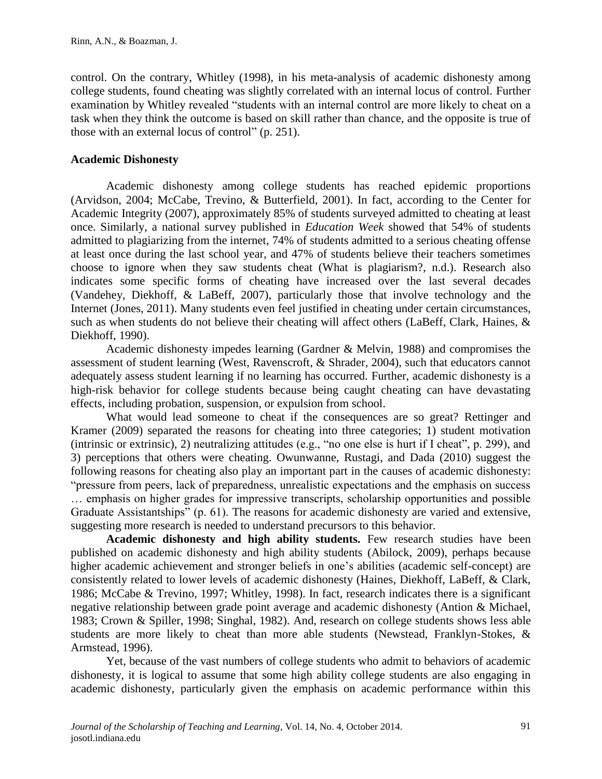control. On the contrary, Whitley (1998), in his meta-analysis of academic dishonesty among college students, found cheating was slightly correlated with an internal locus of control. Further examination by Whitley revealed "students with an internal control are more likely to cheat on a task when they think the outcome is based on skill rather than chance, and the opposite is true of those with an external locus of control" (p. 251).

# **Academic Dishonesty**

Academic dishonesty among college students has reached epidemic proportions (Arvidson, 2004; McCabe, Trevino, & Butterfield, 2001). In fact, according to the Center for Academic Integrity (2007), approximately 85% of students surveyed admitted to cheating at least once. Similarly, a national survey published in *Education Week* showed that 54% of students admitted to plagiarizing from the internet, 74% of students admitted to a serious cheating offense at least once during the last school year, and 47% of students believe their teachers sometimes choose to ignore when they saw students cheat (What is plagiarism?, n.d.). Research also indicates some specific forms of cheating have increased over the last several decades (Vandehey, Diekhoff, & LaBeff, 2007), particularly those that involve technology and the Internet (Jones, 2011). Many students even feel justified in cheating under certain circumstances, such as when students do not believe their cheating will affect others (LaBeff, Clark, Haines, & Diekhoff, 1990).

Academic dishonesty impedes learning (Gardner & Melvin, 1988) and compromises the assessment of student learning (West, Ravenscroft, & Shrader, 2004), such that educators cannot adequately assess student learning if no learning has occurred. Further, academic dishonesty is a high-risk behavior for college students because being caught cheating can have devastating effects, including probation, suspension, or expulsion from school.

What would lead someone to cheat if the consequences are so great? Rettinger and Kramer (2009) separated the reasons for cheating into three categories; 1) student motivation (intrinsic or extrinsic), 2) neutralizing attitudes (e.g., "no one else is hurt if I cheat", p. 299), and 3) perceptions that others were cheating. Owunwanne, Rustagi, and Dada (2010) suggest the following reasons for cheating also play an important part in the causes of academic dishonesty: "pressure from peers, lack of preparedness, unrealistic expectations and the emphasis on success … emphasis on higher grades for impressive transcripts, scholarship opportunities and possible Graduate Assistantships" (p. 61). The reasons for academic dishonesty are varied and extensive, suggesting more research is needed to understand precursors to this behavior.

**Academic dishonesty and high ability students.** Few research studies have been published on academic dishonesty and high ability students (Abilock, 2009), perhaps because higher academic achievement and stronger beliefs in one's abilities (academic self-concept) are consistently related to lower levels of academic dishonesty (Haines, Diekhoff, LaBeff, & Clark, 1986; McCabe & Trevino, 1997; Whitley, 1998). In fact, research indicates there is a significant negative relationship between grade point average and academic dishonesty (Antion & Michael, 1983; Crown & Spiller, 1998; Singhal, 1982). And, research on college students shows less able students are more likely to cheat than more able students (Newstead, Franklyn-Stokes, & Armstead, 1996).

Yet, because of the vast numbers of college students who admit to behaviors of academic dishonesty, it is logical to assume that some high ability college students are also engaging in academic dishonesty, particularly given the emphasis on academic performance within this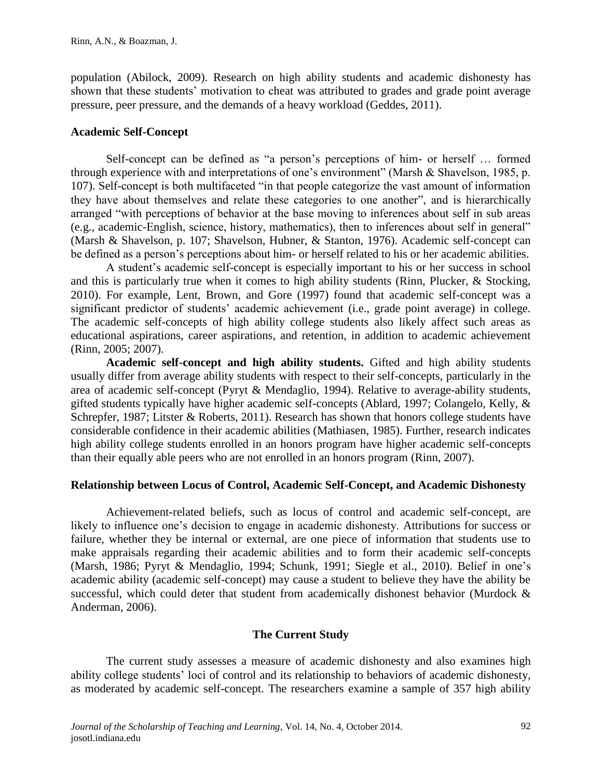population (Abilock, 2009). Research on high ability students and academic dishonesty has shown that these students' motivation to cheat was attributed to grades and grade point average pressure, peer pressure, and the demands of a heavy workload (Geddes, 2011).

# **Academic Self-Concept**

Self-concept can be defined as "a person's perceptions of him- or herself … formed through experience with and interpretations of one's environment" (Marsh & Shavelson, 1985, p. 107). Self-concept is both multifaceted "in that people categorize the vast amount of information they have about themselves and relate these categories to one another", and is hierarchically arranged "with perceptions of behavior at the base moving to inferences about self in sub areas (e.g., academic-English, science, history, mathematics), then to inferences about self in general" (Marsh & Shavelson, p. 107; Shavelson, Hubner, & Stanton, 1976). Academic self-concept can be defined as a person's perceptions about him- or herself related to his or her academic abilities.

A student's academic self-concept is especially important to his or her success in school and this is particularly true when it comes to high ability students (Rinn, Plucker, & Stocking, 2010). For example, Lent, Brown, and Gore (1997) found that academic self-concept was a significant predictor of students' academic achievement (i.e., grade point average) in college. The academic self-concepts of high ability college students also likely affect such areas as educational aspirations, career aspirations, and retention, in addition to academic achievement (Rinn, 2005; 2007).

**Academic self-concept and high ability students.** Gifted and high ability students usually differ from average ability students with respect to their self-concepts, particularly in the area of academic self-concept (Pyryt & Mendaglio, 1994). Relative to average-ability students, gifted students typically have higher academic self-concepts (Ablard, 1997; Colangelo, Kelly, & Schrepfer, 1987; Litster & Roberts, 2011). Research has shown that honors college students have considerable confidence in their academic abilities (Mathiasen, 1985). Further, research indicates high ability college students enrolled in an honors program have higher academic self-concepts than their equally able peers who are not enrolled in an honors program (Rinn, 2007).

# **Relationship between Locus of Control, Academic Self-Concept, and Academic Dishonesty**

Achievement-related beliefs, such as locus of control and academic self-concept, are likely to influence one's decision to engage in academic dishonesty. Attributions for success or failure, whether they be internal or external, are one piece of information that students use to make appraisals regarding their academic abilities and to form their academic self-concepts (Marsh, 1986; Pyryt & Mendaglio, 1994; Schunk, 1991; Siegle et al., 2010). Belief in one's academic ability (academic self-concept) may cause a student to believe they have the ability be successful, which could deter that student from academically dishonest behavior (Murdock & Anderman, 2006).

# **The Current Study**

The current study assesses a measure of academic dishonesty and also examines high ability college students' loci of control and its relationship to behaviors of academic dishonesty, as moderated by academic self-concept. The researchers examine a sample of 357 high ability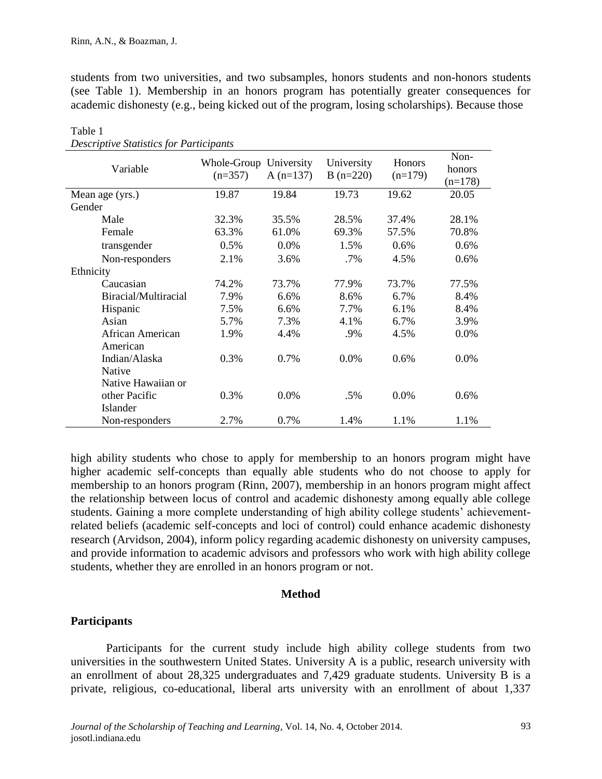students from two universities, and two subsamples, honors students and non-honors students (see Table 1). Membership in an honors program has potentially greater consequences for academic dishonesty (e.g., being kicked out of the program, losing scholarships). Because those

| $\sim$ . There is a subsequently the component<br>Variable | Whole-Group University<br>$(n=357)$ | A $(n=137)$ | University<br>$B(n=220)$ | Honors<br>$(n=179)$ | Non-<br>honors<br>$(n=178)$ |
|------------------------------------------------------------|-------------------------------------|-------------|--------------------------|---------------------|-----------------------------|
| Mean age (yrs.)                                            | 19.87                               | 19.84       | 19.73                    | 19.62               | 20.05                       |
| Gender                                                     |                                     |             |                          |                     |                             |
| Male                                                       | 32.3%                               | 35.5%       | 28.5%                    | 37.4%               | 28.1%                       |
| Female                                                     | 63.3%                               | 61.0%       | 69.3%                    | 57.5%               | 70.8%                       |
| transgender                                                | 0.5%                                | 0.0%        | 1.5%                     | 0.6%                | $0.6\%$                     |
| Non-responders                                             | 2.1%                                | 3.6%        | .7%                      | 4.5%                | 0.6%                        |
| Ethnicity                                                  |                                     |             |                          |                     |                             |
| Caucasian                                                  | 74.2%                               | 73.7%       | 77.9%                    | 73.7%               | 77.5%                       |
| Biracial/Multiracial                                       | 7.9%                                | 6.6%        | 8.6%                     | 6.7%                | 8.4%                        |
| Hispanic                                                   | 7.5%                                | 6.6%        | 7.7%                     | 6.1%                | 8.4%                        |
| Asian                                                      | 5.7%                                | 7.3%        | 4.1%                     | 6.7%                | 3.9%                        |
| African American<br>American                               | 1.9%                                | 4.4%        | .9%                      | 4.5%                | 0.0%                        |
| Indian/Alaska<br>Native                                    | 0.3%                                | 0.7%        | 0.0%                     | 0.6%                | 0.0%                        |
| Native Hawaiian or                                         |                                     |             |                          |                     |                             |
| other Pacific                                              | 0.3%                                | 0.0%        | .5%                      | 0.0%                | 0.6%                        |
| Islander                                                   |                                     |             |                          |                     |                             |
| Non-responders                                             | 2.7%                                | 0.7%        | 1.4%                     | 1.1%                | 1.1%                        |

Table 1 *Descriptive Statistics for Participants*

high ability students who chose to apply for membership to an honors program might have higher academic self-concepts than equally able students who do not choose to apply for membership to an honors program (Rinn, 2007), membership in an honors program might affect the relationship between locus of control and academic dishonesty among equally able college students. Gaining a more complete understanding of high ability college students' achievementrelated beliefs (academic self-concepts and loci of control) could enhance academic dishonesty research (Arvidson, 2004), inform policy regarding academic dishonesty on university campuses, and provide information to academic advisors and professors who work with high ability college students, whether they are enrolled in an honors program or not.

## **Method**

## **Participants**

Participants for the current study include high ability college students from two universities in the southwestern United States. University A is a public, research university with an enrollment of about 28,325 undergraduates and 7,429 graduate students. University B is a private, religious, co-educational, liberal arts university with an enrollment of about 1,337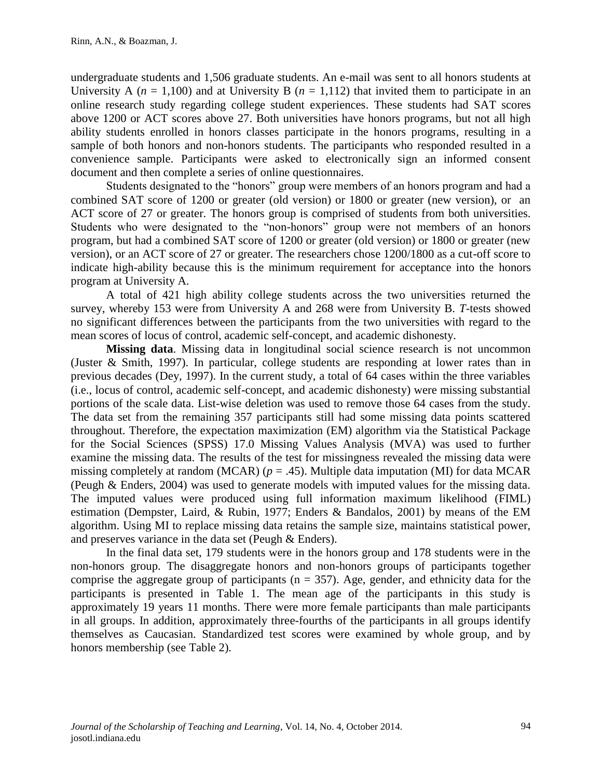undergraduate students and 1,506 graduate students. An e-mail was sent to all honors students at University A ( $n = 1,100$ ) and at University B ( $n = 1,112$ ) that invited them to participate in an online research study regarding college student experiences. These students had SAT scores above 1200 or ACT scores above 27. Both universities have honors programs, but not all high ability students enrolled in honors classes participate in the honors programs, resulting in a sample of both honors and non-honors students. The participants who responded resulted in a convenience sample. Participants were asked to electronically sign an informed consent document and then complete a series of online questionnaires.

Students designated to the "honors" group were members of an honors program and had a combined SAT score of 1200 or greater (old version) or 1800 or greater (new version), or an ACT score of 27 or greater. The honors group is comprised of students from both universities. Students who were designated to the "non-honors" group were not members of an honors program, but had a combined SAT score of 1200 or greater (old version) or 1800 or greater (new version), or an ACT score of 27 or greater. The researchers chose 1200/1800 as a cut-off score to indicate high-ability because this is the minimum requirement for acceptance into the honors program at University A.

A total of 421 high ability college students across the two universities returned the survey, whereby 153 were from University A and 268 were from University B. *T*-tests showed no significant differences between the participants from the two universities with regard to the mean scores of locus of control, academic self-concept, and academic dishonesty.

**Missing data**. Missing data in longitudinal social science research is not uncommon (Juster & Smith, 1997). In particular, college students are responding at lower rates than in previous decades (Dey, 1997). In the current study, a total of 64 cases within the three variables (i.e., locus of control, academic self-concept, and academic dishonesty) were missing substantial portions of the scale data. List-wise deletion was used to remove those 64 cases from the study. The data set from the remaining 357 participants still had some missing data points scattered throughout. Therefore, the expectation maximization (EM) algorithm via the Statistical Package for the Social Sciences (SPSS) 17.0 Missing Values Analysis (MVA) was used to further examine the missing data. The results of the test for missingness revealed the missing data were missing completely at random (MCAR) ( $p = .45$ ). Multiple data imputation (MI) for data MCAR (Peugh & Enders, 2004) was used to generate models with imputed values for the missing data. The imputed values were produced using full information maximum likelihood (FIML) estimation (Dempster, Laird, & Rubin, 1977; Enders & Bandalos, 2001) by means of the EM algorithm. Using MI to replace missing data retains the sample size, maintains statistical power, and preserves variance in the data set (Peugh & Enders).

In the final data set, 179 students were in the honors group and 178 students were in the non-honors group. The disaggregate honors and non-honors groups of participants together comprise the aggregate group of participants ( $n = 357$ ). Age, gender, and ethnicity data for the participants is presented in Table 1. The mean age of the participants in this study is approximately 19 years 11 months. There were more female participants than male participants in all groups. In addition, approximately three-fourths of the participants in all groups identify themselves as Caucasian. Standardized test scores were examined by whole group, and by honors membership (see Table 2).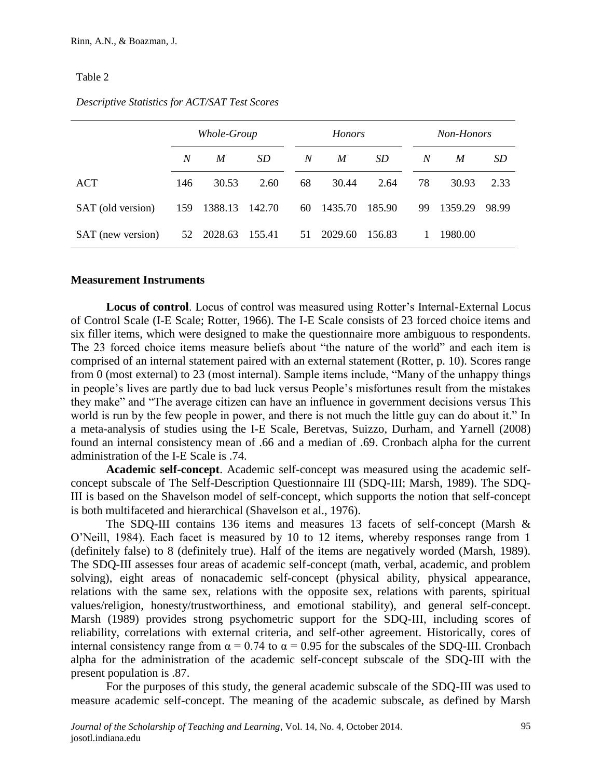#### Table 2

|                   | Whole-Group |            |        |    | <b>Honors</b> |        |    | Non-Honors |               |  |
|-------------------|-------------|------------|--------|----|---------------|--------|----|------------|---------------|--|
|                   | N           | M          | SD     | N  | M             | SD     | N  | M          | <sub>SD</sub> |  |
| ACT               | 146         | 30.53      | 2.60   | 68 | 30.44         | 2.64   | 78 | 30.93      | 2.33          |  |
| SAT (old version) | 159         | 1388.13    | 142.70 | 60 | 1435.70       | 185.90 | 99 | 1359.29    | 98.99         |  |
| SAT (new version) |             | 52 2028.63 | 155.41 | 51 | 2029.60       | 156.83 | 1  | 1980.00    |               |  |

#### *Descriptive Statistics for ACT/SAT Test Scores*

#### **Measurement Instruments**

**Locus of control**. Locus of control was measured using Rotter's Internal-External Locus of Control Scale (I-E Scale; Rotter, 1966). The I-E Scale consists of 23 forced choice items and six filler items, which were designed to make the questionnaire more ambiguous to respondents. The 23 forced choice items measure beliefs about "the nature of the world" and each item is comprised of an internal statement paired with an external statement (Rotter, p. 10). Scores range from 0 (most external) to 23 (most internal). Sample items include, "Many of the unhappy things in people's lives are partly due to bad luck versus People's misfortunes result from the mistakes they make" and "The average citizen can have an influence in government decisions versus This world is run by the few people in power, and there is not much the little guy can do about it." In a meta-analysis of studies using the I-E Scale, Beretvas, Suizzo, Durham, and Yarnell (2008) found an internal consistency mean of .66 and a median of .69. Cronbach alpha for the current administration of the I-E Scale is .74.

**Academic self-concept**. Academic self-concept was measured using the academic selfconcept subscale of The Self-Description Questionnaire III (SDQ-III; Marsh, 1989). The SDQ-III is based on the Shavelson model of self-concept, which supports the notion that self-concept is both multifaceted and hierarchical (Shavelson et al., 1976).

The SDQ-III contains 136 items and measures 13 facets of self-concept (Marsh & O'Neill, 1984). Each facet is measured by 10 to 12 items, whereby responses range from 1 (definitely false) to 8 (definitely true). Half of the items are negatively worded (Marsh, 1989). The SDQ-III assesses four areas of academic self-concept (math, verbal, academic, and problem solving), eight areas of nonacademic self-concept (physical ability, physical appearance, relations with the same sex, relations with the opposite sex, relations with parents, spiritual values/religion, honesty/trustworthiness, and emotional stability), and general self-concept. Marsh (1989) provides strong psychometric support for the SDQ-III, including scores of reliability, correlations with external criteria, and self-other agreement. Historically, cores of internal consistency range from  $\alpha = 0.74$  to  $\alpha = 0.95$  for the subscales of the SDQ-III. Cronbach alpha for the administration of the academic self-concept subscale of the SDQ-III with the present population is .87.

For the purposes of this study, the general academic subscale of the SDQ-III was used to measure academic self-concept. The meaning of the academic subscale, as defined by Marsh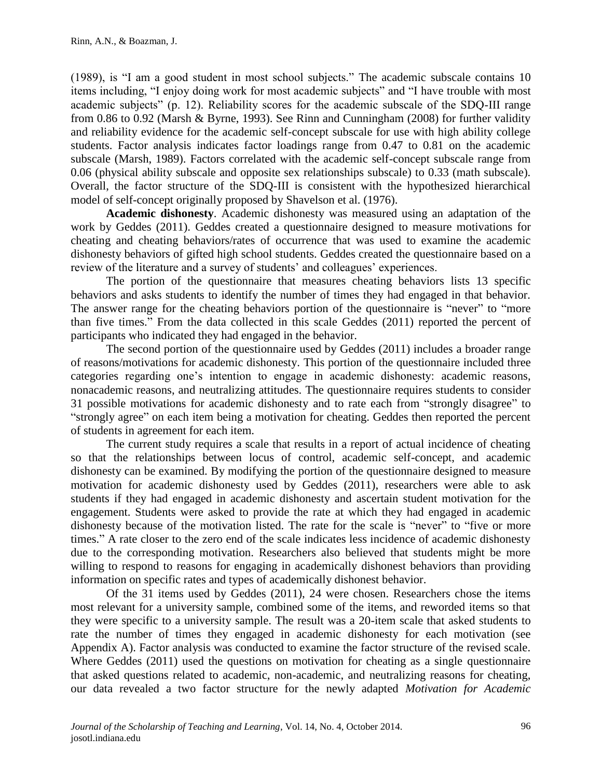(1989), is "I am a good student in most school subjects." The academic subscale contains 10 items including, "I enjoy doing work for most academic subjects" and "I have trouble with most academic subjects" (p. 12). Reliability scores for the academic subscale of the SDQ-III range from 0.86 to 0.92 (Marsh & Byrne, 1993). See Rinn and Cunningham (2008) for further validity and reliability evidence for the academic self-concept subscale for use with high ability college students. Factor analysis indicates factor loadings range from 0.47 to 0.81 on the academic subscale (Marsh, 1989). Factors correlated with the academic self-concept subscale range from 0.06 (physical ability subscale and opposite sex relationships subscale) to 0.33 (math subscale). Overall, the factor structure of the SDQ-III is consistent with the hypothesized hierarchical model of self-concept originally proposed by Shavelson et al. (1976).

**Academic dishonesty**. Academic dishonesty was measured using an adaptation of the work by Geddes (2011). Geddes created a questionnaire designed to measure motivations for cheating and cheating behaviors/rates of occurrence that was used to examine the academic dishonesty behaviors of gifted high school students. Geddes created the questionnaire based on a review of the literature and a survey of students' and colleagues' experiences.

The portion of the questionnaire that measures cheating behaviors lists 13 specific behaviors and asks students to identify the number of times they had engaged in that behavior. The answer range for the cheating behaviors portion of the questionnaire is "never" to "more than five times." From the data collected in this scale Geddes (2011) reported the percent of participants who indicated they had engaged in the behavior.

The second portion of the questionnaire used by Geddes (2011) includes a broader range of reasons/motivations for academic dishonesty. This portion of the questionnaire included three categories regarding one's intention to engage in academic dishonesty: academic reasons, nonacademic reasons, and neutralizing attitudes. The questionnaire requires students to consider 31 possible motivations for academic dishonesty and to rate each from "strongly disagree" to "strongly agree" on each item being a motivation for cheating. Geddes then reported the percent of students in agreement for each item.

The current study requires a scale that results in a report of actual incidence of cheating so that the relationships between locus of control, academic self-concept, and academic dishonesty can be examined. By modifying the portion of the questionnaire designed to measure motivation for academic dishonesty used by Geddes (2011), researchers were able to ask students if they had engaged in academic dishonesty and ascertain student motivation for the engagement. Students were asked to provide the rate at which they had engaged in academic dishonesty because of the motivation listed. The rate for the scale is "never" to "five or more times." A rate closer to the zero end of the scale indicates less incidence of academic dishonesty due to the corresponding motivation. Researchers also believed that students might be more willing to respond to reasons for engaging in academically dishonest behaviors than providing information on specific rates and types of academically dishonest behavior.

Of the 31 items used by Geddes (2011), 24 were chosen. Researchers chose the items most relevant for a university sample, combined some of the items, and reworded items so that they were specific to a university sample. The result was a 20-item scale that asked students to rate the number of times they engaged in academic dishonesty for each motivation (see Appendix A). Factor analysis was conducted to examine the factor structure of the revised scale. Where Geddes (2011) used the questions on motivation for cheating as a single questionnaire that asked questions related to academic, non-academic, and neutralizing reasons for cheating, our data revealed a two factor structure for the newly adapted *Motivation for Academic*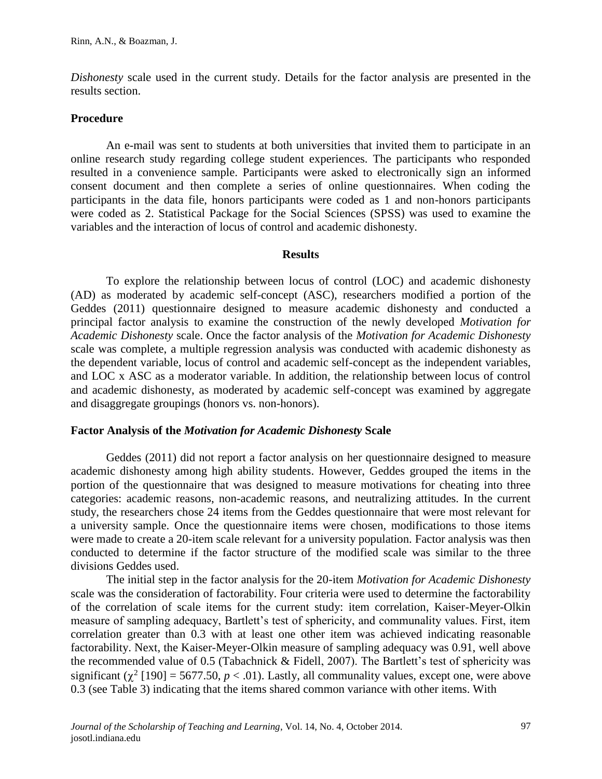*Dishonesty* scale used in the current study. Details for the factor analysis are presented in the results section.

### **Procedure**

An e-mail was sent to students at both universities that invited them to participate in an online research study regarding college student experiences. The participants who responded resulted in a convenience sample. Participants were asked to electronically sign an informed consent document and then complete a series of online questionnaires. When coding the participants in the data file, honors participants were coded as 1 and non-honors participants were coded as 2. Statistical Package for the Social Sciences (SPSS) was used to examine the variables and the interaction of locus of control and academic dishonesty.

#### **Results**

To explore the relationship between locus of control (LOC) and academic dishonesty (AD) as moderated by academic self-concept (ASC), researchers modified a portion of the Geddes (2011) questionnaire designed to measure academic dishonesty and conducted a principal factor analysis to examine the construction of the newly developed *Motivation for Academic Dishonesty* scale. Once the factor analysis of the *Motivation for Academic Dishonesty* scale was complete, a multiple regression analysis was conducted with academic dishonesty as the dependent variable, locus of control and academic self-concept as the independent variables, and LOC x ASC as a moderator variable. In addition, the relationship between locus of control and academic dishonesty, as moderated by academic self-concept was examined by aggregate and disaggregate groupings (honors vs. non-honors).

#### **Factor Analysis of the** *Motivation for Academic Dishonesty* **Scale**

Geddes (2011) did not report a factor analysis on her questionnaire designed to measure academic dishonesty among high ability students. However, Geddes grouped the items in the portion of the questionnaire that was designed to measure motivations for cheating into three categories: academic reasons, non-academic reasons, and neutralizing attitudes. In the current study, the researchers chose 24 items from the Geddes questionnaire that were most relevant for a university sample. Once the questionnaire items were chosen, modifications to those items were made to create a 20-item scale relevant for a university population. Factor analysis was then conducted to determine if the factor structure of the modified scale was similar to the three divisions Geddes used.

The initial step in the factor analysis for the 20-item *Motivation for Academic Dishonesty* scale was the consideration of factorability. Four criteria were used to determine the factorability of the correlation of scale items for the current study: item correlation, Kaiser-Meyer-Olkin measure of sampling adequacy, Bartlett's test of sphericity, and communality values. First, item correlation greater than 0.3 with at least one other item was achieved indicating reasonable factorability. Next, the Kaiser-Meyer-Olkin measure of sampling adequacy was 0.91, well above the recommended value of 0.5 (Tabachnick  $&$  Fidell, 2007). The Bartlett's test of sphericity was significant ( $\chi^2$  [190] = 5677.50,  $p < .01$ ). Lastly, all communality values, except one, were above 0.3 (see Table 3) indicating that the items shared common variance with other items. With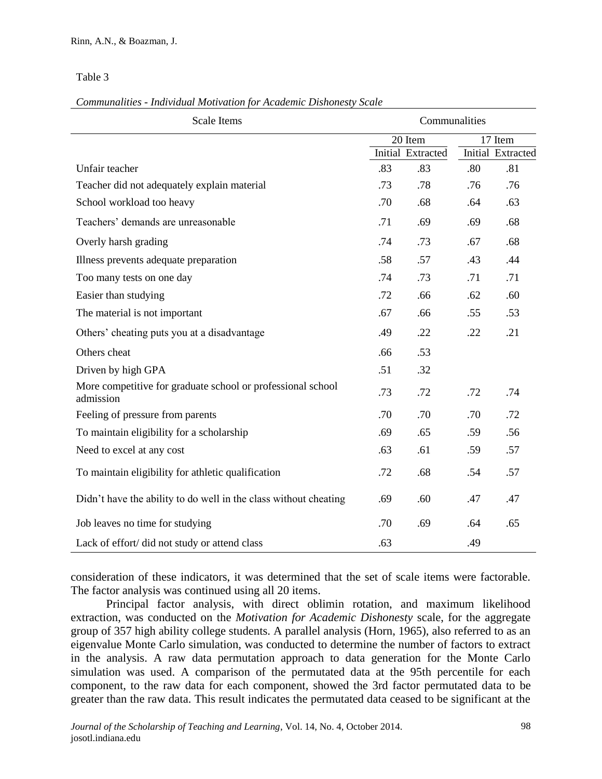Table 3

### *Communalities - Individual Motivation for Academic Dishonesty Scale*

| <b>Scale Items</b>                                                       | Communalities |                          |         |                          |  |
|--------------------------------------------------------------------------|---------------|--------------------------|---------|--------------------------|--|
|                                                                          |               | 20 Item                  | 17 Item |                          |  |
|                                                                          |               | <b>Initial Extracted</b> |         | <b>Initial Extracted</b> |  |
| Unfair teacher                                                           | .83           | .83                      | .80     | .81                      |  |
| Teacher did not adequately explain material                              | .73           | .78                      | .76     | .76                      |  |
| School workload too heavy                                                | .70           | .68                      | .64     | .63                      |  |
| Teachers' demands are unreasonable                                       | .71           | .69                      | .69     | .68                      |  |
| Overly harsh grading                                                     | .74           | .73                      | .67     | .68                      |  |
| Illness prevents adequate preparation                                    | .58           | .57                      | .43     | .44                      |  |
| Too many tests on one day                                                | .74           | .73                      | .71     | .71                      |  |
| Easier than studying                                                     | .72           | .66                      | .62     | .60                      |  |
| The material is not important                                            | .67           | .66                      | .55     | .53                      |  |
| Others' cheating puts you at a disadvantage                              | .49           | .22                      | .22     | .21                      |  |
| Others cheat                                                             | .66           | .53                      |         |                          |  |
| Driven by high GPA                                                       | .51           | .32                      |         |                          |  |
| More competitive for graduate school or professional school<br>admission | .73           | .72                      | .72     | .74                      |  |
| Feeling of pressure from parents                                         | .70           | .70                      | .70     | .72                      |  |
| To maintain eligibility for a scholarship                                | .69           | .65                      | .59     | .56                      |  |
| Need to excel at any cost                                                | .63           | .61                      | .59     | .57                      |  |
| To maintain eligibility for athletic qualification                       | .72           | .68                      | .54     | .57                      |  |
| Didn't have the ability to do well in the class without cheating         | .69           | .60                      | .47     | .47                      |  |
| Job leaves no time for studying                                          | .70           | .69                      | .64     | .65                      |  |
| Lack of effort/ did not study or attend class                            | .63           |                          | .49     |                          |  |

consideration of these indicators, it was determined that the set of scale items were factorable. The factor analysis was continued using all 20 items.

Principal factor analysis, with direct oblimin rotation, and maximum likelihood extraction, was conducted on the *Motivation for Academic Dishonesty* scale, for the aggregate group of 357 high ability college students. A parallel analysis (Horn, 1965), also referred to as an eigenvalue Monte Carlo simulation, was conducted to determine the number of factors to extract in the analysis. A raw data permutation approach to data generation for the Monte Carlo simulation was used. A comparison of the permutated data at the 95th percentile for each component, to the raw data for each component, showed the 3rd factor permutated data to be greater than the raw data. This result indicates the permutated data ceased to be significant at the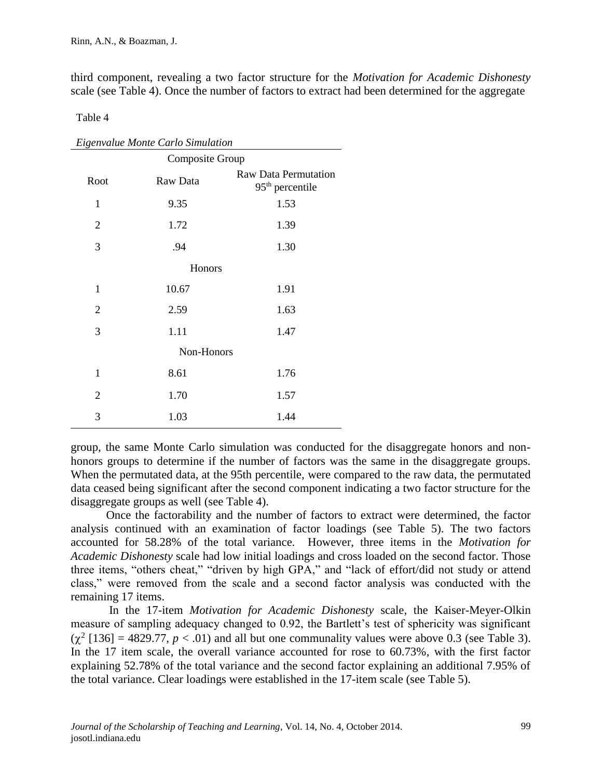third component, revealing a two factor structure for the *Motivation for Academic Dishonesty* scale (see Table 4). Once the number of factors to extract had been determined for the aggregate

Table 4

| Eigenvalue Monte Carlo Simulation |            |                                                  |  |  |  |  |  |  |  |  |
|-----------------------------------|------------|--------------------------------------------------|--|--|--|--|--|--|--|--|
| Composite Group                   |            |                                                  |  |  |  |  |  |  |  |  |
| Root                              | Raw Data   | <b>Raw Data Permutation</b><br>$95th$ percentile |  |  |  |  |  |  |  |  |
| $\mathbf{1}$                      | 9.35       | 1.53                                             |  |  |  |  |  |  |  |  |
| 2                                 | 1.72       | 1.39                                             |  |  |  |  |  |  |  |  |
| 3                                 | .94        | 1.30                                             |  |  |  |  |  |  |  |  |
|                                   | Honors     |                                                  |  |  |  |  |  |  |  |  |
| 1                                 | 10.67      | 1.91                                             |  |  |  |  |  |  |  |  |
| $\overline{2}$                    | 2.59       | 1.63                                             |  |  |  |  |  |  |  |  |
| 3                                 | 1.11       | 1.47                                             |  |  |  |  |  |  |  |  |
|                                   | Non-Honors |                                                  |  |  |  |  |  |  |  |  |
| $\mathbf{1}$                      | 8.61       | 1.76                                             |  |  |  |  |  |  |  |  |
| $\overline{2}$                    | 1.70       | 1.57                                             |  |  |  |  |  |  |  |  |
| 3                                 | 1.03       | 1.44                                             |  |  |  |  |  |  |  |  |

group, the same Monte Carlo simulation was conducted for the disaggregate honors and nonhonors groups to determine if the number of factors was the same in the disaggregate groups. When the permutated data, at the 95th percentile, were compared to the raw data, the permutated data ceased being significant after the second component indicating a two factor structure for the disaggregate groups as well (see Table 4).

Once the factorability and the number of factors to extract were determined, the factor analysis continued with an examination of factor loadings (see Table 5). The two factors accounted for 58.28% of the total variance. However, three items in the *Motivation for Academic Dishonesty* scale had low initial loadings and cross loaded on the second factor. Those three items, "others cheat," "driven by high GPA," and "lack of effort/did not study or attend class," were removed from the scale and a second factor analysis was conducted with the remaining 17 items.

In the 17-item *Motivation for Academic Dishonesty* scale, the Kaiser-Meyer-Olkin measure of sampling adequacy changed to 0.92, the Bartlett's test of sphericity was significant  $(\chi^2$  [136] = 4829.77,  $p < .01$ ) and all but one communality values were above 0.3 (see Table 3). In the 17 item scale, the overall variance accounted for rose to 60.73%, with the first factor explaining 52.78% of the total variance and the second factor explaining an additional 7.95% of the total variance. Clear loadings were established in the 17-item scale (see Table 5).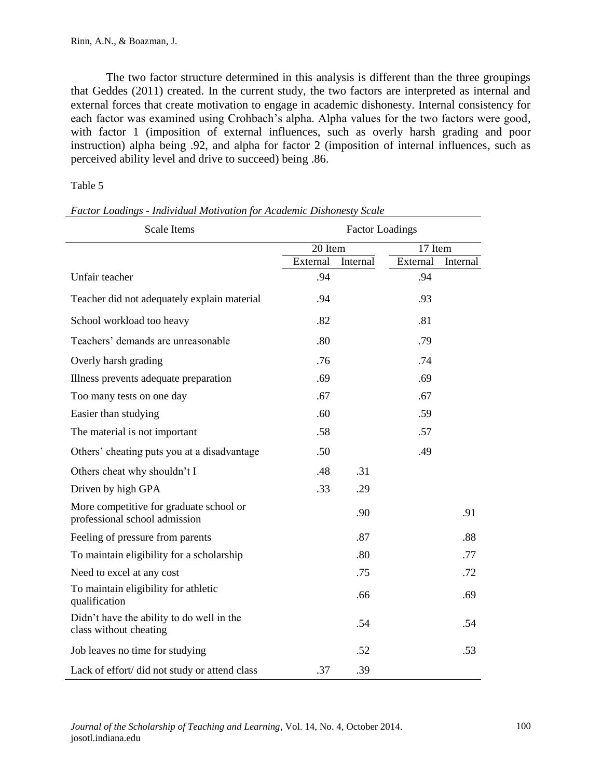The two factor structure determined in this analysis is different than the three groupings that Geddes (2011) created. In the current study, the two factors are interpreted as internal and external forces that create motivation to engage in academic dishonesty. Internal consistency for each factor was examined using Crohbach's alpha. Alpha values for the two factors were good, with factor 1 (imposition of external influences, such as overly harsh grading and poor instruction) alpha being .92, and alpha for factor 2 (imposition of internal influences, such as perceived ability level and drive to succeed) being .86.

## Table 5

| <b>Scale Items</b>                                                       | <b>Factor Loadings</b> |          |          |          |  |  |  |
|--------------------------------------------------------------------------|------------------------|----------|----------|----------|--|--|--|
|                                                                          | 20 Item                |          | 17 Item  |          |  |  |  |
|                                                                          | External               | Internal | External | Internal |  |  |  |
| Unfair teacher                                                           | .94                    |          | .94      |          |  |  |  |
| Teacher did not adequately explain material                              | .94                    |          | .93      |          |  |  |  |
| School workload too heavy                                                | .82                    |          | .81      |          |  |  |  |
| Teachers' demands are unreasonable                                       | .80                    |          | .79      |          |  |  |  |
| Overly harsh grading                                                     | .76                    |          | .74      |          |  |  |  |
| Illness prevents adequate preparation                                    | .69                    |          | .69      |          |  |  |  |
| Too many tests on one day                                                | .67                    |          | .67      |          |  |  |  |
| Easier than studying                                                     | .60                    |          | .59      |          |  |  |  |
| The material is not important                                            | .58                    |          | .57      |          |  |  |  |
| Others' cheating puts you at a disadvantage                              | .50                    |          | .49      |          |  |  |  |
| Others cheat why shouldn't I                                             | .48                    | .31      |          |          |  |  |  |
| Driven by high GPA                                                       | .33                    | .29      |          |          |  |  |  |
| More competitive for graduate school or<br>professional school admission |                        | .90      |          | .91      |  |  |  |
| Feeling of pressure from parents                                         |                        | .87      |          | .88      |  |  |  |
| To maintain eligibility for a scholarship                                |                        | .80      |          | .77      |  |  |  |
| Need to excel at any cost                                                |                        | .75      |          | .72      |  |  |  |
| To maintain eligibility for athletic<br>qualification                    |                        | .66      |          | .69      |  |  |  |
| Didn't have the ability to do well in the<br>class without cheating      |                        | .54      |          | .54      |  |  |  |
| Job leaves no time for studying                                          |                        | .52      |          | .53      |  |  |  |
| Lack of effort/ did not study or attend class                            | .37                    | .39      |          |          |  |  |  |

*Factor Loadings - Individual Motivation for Academic Dishonesty Scale*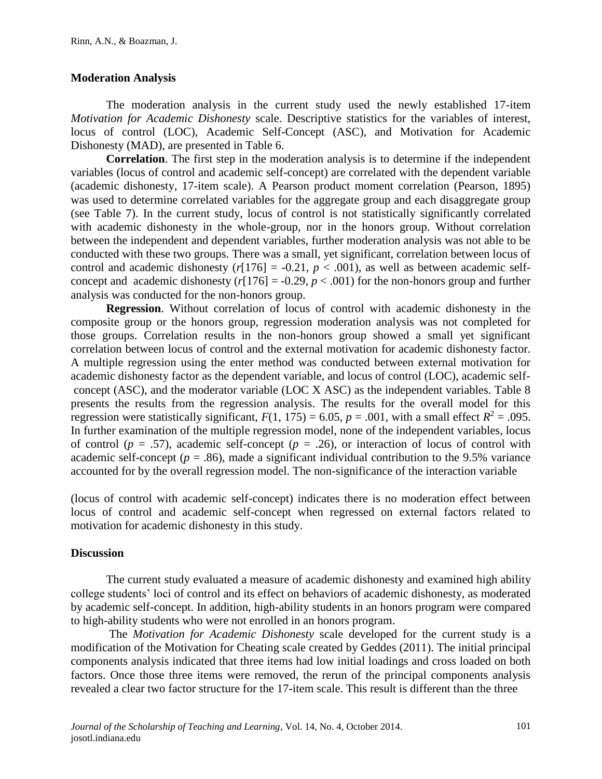## **Moderation Analysis**

The moderation analysis in the current study used the newly established 17-item *Motivation for Academic Dishonesty* scale. Descriptive statistics for the variables of interest, locus of control (LOC), Academic Self-Concept (ASC), and Motivation for Academic Dishonesty (MAD), are presented in Table 6.

**Correlation**. The first step in the moderation analysis is to determine if the independent variables (locus of control and academic self-concept) are correlated with the dependent variable (academic dishonesty, 17-item scale). A Pearson product moment correlation (Pearson, 1895) was used to determine correlated variables for the aggregate group and each disaggregate group (see Table 7). In the current study, locus of control is not statistically significantly correlated with academic dishonesty in the whole-group, nor in the honors group. Without correlation between the independent and dependent variables, further moderation analysis was not able to be conducted with these two groups. There was a small, yet significant, correlation between locus of control and academic dishonesty  $(r[176] = -0.21, p < .001)$ , as well as between academic selfconcept and academic dishonesty  $(r[176] = -0.29, p < .001)$  for the non-honors group and further analysis was conducted for the non-honors group.

**Regression**. Without correlation of locus of control with academic dishonesty in the composite group or the honors group, regression moderation analysis was not completed for those groups. Correlation results in the non-honors group showed a small yet significant correlation between locus of control and the external motivation for academic dishonesty factor. A multiple regression using the enter method was conducted between external motivation for academic dishonesty factor as the dependent variable, and locus of control (LOC), academic selfconcept (ASC), and the moderator variable (LOC X ASC) as the independent variables. Table 8 presents the results from the regression analysis. The results for the overall model for this regression were statistically significant,  $F(1, 175) = 6.05$ ,  $p = .001$ , with a small effect  $R^2 = .095$ . In further examination of the multiple regression model, none of the independent variables, locus of control ( $p = .57$ ), academic self-concept ( $p = .26$ ), or interaction of locus of control with academic self-concept ( $p = .86$ ), made a significant individual contribution to the 9.5% variance accounted for by the overall regression model. The non-significance of the interaction variable

(locus of control with academic self-concept) indicates there is no moderation effect between locus of control and academic self-concept when regressed on external factors related to motivation for academic dishonesty in this study.

## **Discussion**

The current study evaluated a measure of academic dishonesty and examined high ability college students' loci of control and its effect on behaviors of academic dishonesty, as moderated by academic self-concept. In addition, high-ability students in an honors program were compared to high-ability students who were not enrolled in an honors program.

The *Motivation for Academic Dishonesty* scale developed for the current study is a modification of the Motivation for Cheating scale created by Geddes (2011). The initial principal components analysis indicated that three items had low initial loadings and cross loaded on both factors. Once those three items were removed, the rerun of the principal components analysis revealed a clear two factor structure for the 17-item scale. This result is different than the three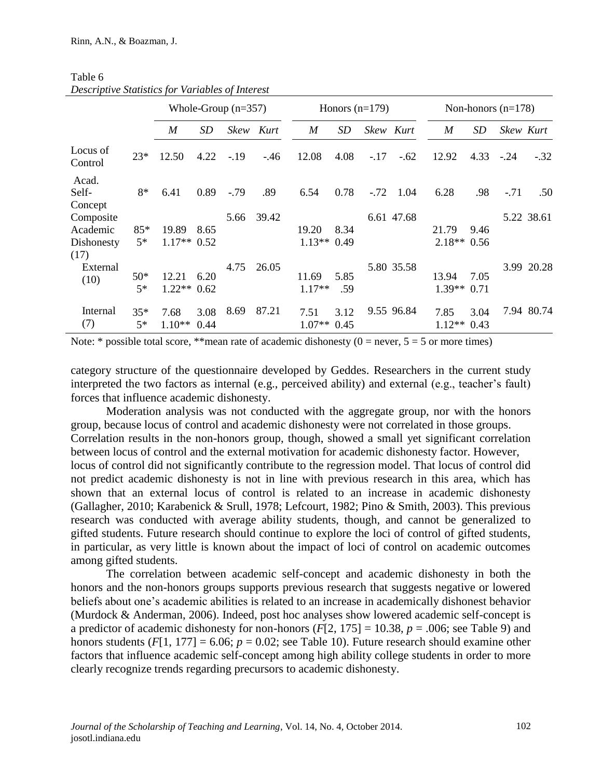|                                             |               | Whole-Group $(n=357)$  |              |         | Honors $(n=179)$ |                       |             | Non-honors $(n=178)$ |            |                       |              |        |            |
|---------------------------------------------|---------------|------------------------|--------------|---------|------------------|-----------------------|-------------|----------------------|------------|-----------------------|--------------|--------|------------|
|                                             |               | M                      | SD           | Skew    | Kurt             | $\boldsymbol{M}$      | SD          | Skew Kurt            |            | $\boldsymbol{M}$      | SD           |        | Skew Kurt  |
| Locus of<br>Control                         | $23*$         | 12.50                  | 4.22         | $-19$   | $-46$            | 12.08                 | 4.08        | $-.17$               | $-.62$     | 12.92                 | 4.33         | $-.24$ | $-.32$     |
| Acad.<br>Self-<br>Concept                   | 8*            | 6.41                   | 0.89         | $-0.79$ | .89              | 6.54                  | 0.78        | $-.72$               | 1.04       | 6.28                  | .98          | $-.71$ | .50        |
| Composite<br>Academic<br>Dishonesty<br>(17) | $85*$<br>$5*$ | 19.89<br>$1.17**$ 0.52 | 8.65         | 5.66    | 39.42            | 19.20<br>$1.13**0.49$ | 8.34        |                      | 6.61 47.68 | 21.79<br>$2.18**0.56$ | 9.46         |        | 5.22 38.61 |
| External<br>(10)                            | $50*$<br>$5*$ | 12.21<br>$1.22**$      | 6.20<br>0.62 | 4.75    | 26.05            | 11.69<br>$1.17**$     | 5.85<br>.59 |                      | 5.80 35.58 | 13.94<br>$1.39**0.71$ | 7.05         |        | 3.99 20.28 |
| Internal<br>(7)                             | $35*$<br>$5*$ | 7.68<br>$1.10**$       | 3.08<br>0.44 | 8.69    | 87.21            | 7.51<br>$1.07**$ 0.45 | 3.12        |                      | 9.55 96.84 | 7.85<br>$1.12**$      | 3.04<br>0.43 |        | 7.94 80.74 |

Table 6 *Descriptive Statistics for Variables of Interest*

Note: \* possible total score, \*\* mean rate of academic dishonesty ( $0 =$  never,  $5 = 5$  or more times)

category structure of the questionnaire developed by Geddes. Researchers in the current study interpreted the two factors as internal (e.g., perceived ability) and external (e.g., teacher's fault) forces that influence academic dishonesty.

Moderation analysis was not conducted with the aggregate group, nor with the honors group, because locus of control and academic dishonesty were not correlated in those groups. Correlation results in the non-honors group, though, showed a small yet significant correlation between locus of control and the external motivation for academic dishonesty factor. However, locus of control did not significantly contribute to the regression model. That locus of control did not predict academic dishonesty is not in line with previous research in this area, which has shown that an external locus of control is related to an increase in academic dishonesty (Gallagher, 2010; Karabenick & Srull, 1978; Lefcourt, 1982; Pino & Smith, 2003). This previous research was conducted with average ability students, though, and cannot be generalized to gifted students. Future research should continue to explore the loci of control of gifted students, in particular, as very little is known about the impact of loci of control on academic outcomes among gifted students.

The correlation between academic self-concept and academic dishonesty in both the honors and the non-honors groups supports previous research that suggests negative or lowered beliefs about one's academic abilities is related to an increase in academically dishonest behavior (Murdock & Anderman, 2006). Indeed, post hoc analyses show lowered academic self-concept is a predictor of academic dishonesty for non-honors  $(F[2, 175] = 10.38, p = .006$ ; see Table 9) and honors students ( $F[1, 177] = 6.06$ ;  $p = 0.02$ ; see Table 10). Future research should examine other factors that influence academic self-concept among high ability college students in order to more clearly recognize trends regarding precursors to academic dishonesty.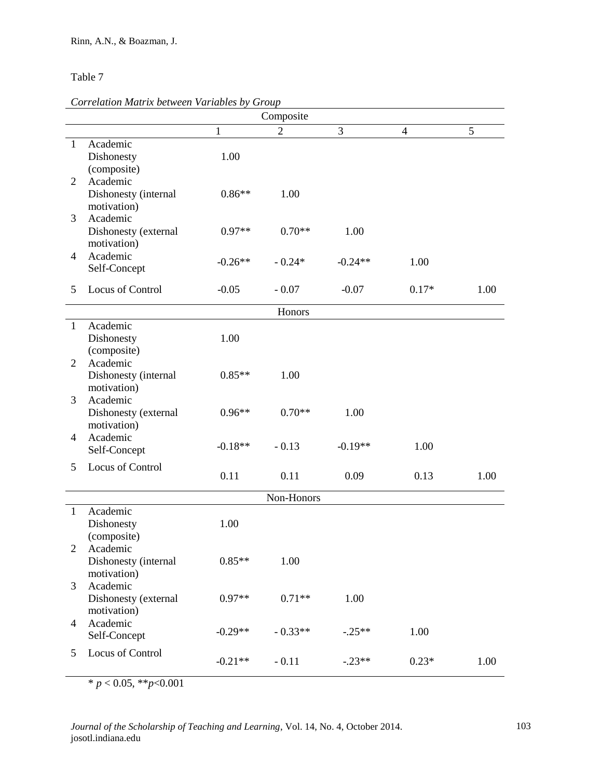## Table 7

#### *Correlation Matrix between Variables by Group*

|                | Composite                        |           |                |           |                          |      |  |  |
|----------------|----------------------------------|-----------|----------------|-----------|--------------------------|------|--|--|
|                |                                  | 1         | $\overline{2}$ | 3         | $\overline{\mathcal{A}}$ | 5    |  |  |
| 1              | Academic                         |           |                |           |                          |      |  |  |
|                | Dishonesty                       | 1.00      |                |           |                          |      |  |  |
|                | (composite)                      |           |                |           |                          |      |  |  |
| 2              | Academic                         |           |                |           |                          |      |  |  |
|                | Dishonesty (internal             | $0.86**$  | 1.00           |           |                          |      |  |  |
|                | motivation)                      |           |                |           |                          |      |  |  |
| 3              | Academic<br>Dishonesty (external | $0.97**$  | $0.70**$       | 1.00      |                          |      |  |  |
|                | motivation)                      |           |                |           |                          |      |  |  |
| 4              | Academic                         |           |                |           |                          |      |  |  |
|                | Self-Concept                     | $-0.26**$ | $-0.24*$       | $-0.24**$ | 1.00                     |      |  |  |
|                |                                  |           |                |           |                          |      |  |  |
| 5              | Locus of Control                 | $-0.05$   | $-0.07$        | $-0.07$   | $0.17*$                  | 1.00 |  |  |
|                |                                  |           | Honors         |           |                          |      |  |  |
| $\mathbf{1}$   | Academic                         |           |                |           |                          |      |  |  |
|                | Dishonesty                       | 1.00      |                |           |                          |      |  |  |
|                | (composite)                      |           |                |           |                          |      |  |  |
| 2              | Academic                         |           |                |           |                          |      |  |  |
|                | Dishonesty (internal             | $0.85**$  | 1.00           |           |                          |      |  |  |
|                | motivation)                      |           |                |           |                          |      |  |  |
| 3              | Academic<br>Dishonesty (external | $0.96**$  | $0.70**$       | 1.00      |                          |      |  |  |
|                | motivation)                      |           |                |           |                          |      |  |  |
| 4              | Academic                         |           |                |           |                          |      |  |  |
|                | Self-Concept                     | $-0.18**$ | $-0.13$        | $-0.19**$ | 1.00                     |      |  |  |
| 5              | Locus of Control                 |           |                |           |                          |      |  |  |
|                |                                  | 0.11      | 0.11           | 0.09      | 0.13                     | 1.00 |  |  |
|                |                                  |           | Non-Honors     |           |                          |      |  |  |
| $\mathbf{1}$   | Academic                         |           |                |           |                          |      |  |  |
|                | Dishonesty                       | 1.00      |                |           |                          |      |  |  |
|                | (composite)                      |           |                |           |                          |      |  |  |
|                | 2 Academic                       |           |                |           |                          |      |  |  |
|                | Dishonesty (internal             | $0.85**$  | 1.00           |           |                          |      |  |  |
|                | motivation)                      |           |                |           |                          |      |  |  |
| 3              | Academic                         |           |                |           |                          |      |  |  |
|                | Dishonesty (external             | $0.97**$  | $0.71**$       | 1.00      |                          |      |  |  |
|                | motivation)                      |           |                |           |                          |      |  |  |
| $\overline{4}$ | Academic                         | $-0.29**$ | $-0.33**$      | $-.25**$  | 1.00                     |      |  |  |
|                | Self-Concept                     |           |                |           |                          |      |  |  |
| 5              | Locus of Control                 | $-0.21**$ | $-0.11$        | $-.23**$  | $0.23*$                  | 1.00 |  |  |
|                |                                  |           |                |           |                          |      |  |  |

 $* p < 0.05, ** p < 0.001$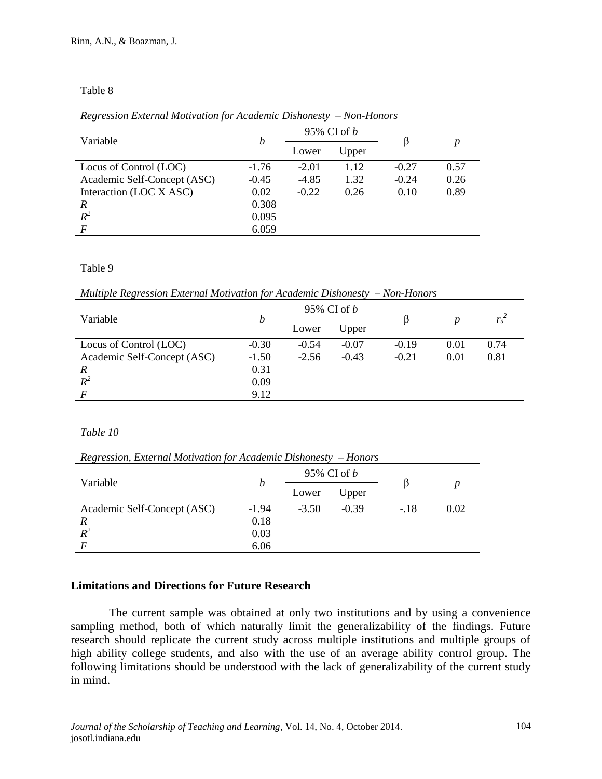### Table 8

*Regression External Motivation for Academic Dishonesty – Non-Honors* 

| Variable                    |         |         | 95% CI of <i>b</i> |         |      |  |
|-----------------------------|---------|---------|--------------------|---------|------|--|
|                             | b       | Lower   | Upper              |         | p    |  |
| Locus of Control (LOC)      | $-1.76$ | $-2.01$ | 1.12               | $-0.27$ | 0.57 |  |
| Academic Self-Concept (ASC) | $-0.45$ | $-4.85$ | 1.32               | $-0.24$ | 0.26 |  |
| Interaction (LOC X ASC)     | 0.02    | $-0.22$ | 0.26               | 0.10    | 0.89 |  |
| $\overline{R}$              | 0.308   |         |                    |         |      |  |
| $R^2$                       | 0.095   |         |                    |         |      |  |
| $\boldsymbol{F}$            | 6.059   |         |                    |         |      |  |
|                             |         |         |                    |         |      |  |

#### Table 9

*Multiple Regression External Motivation for Academic Dishonesty – Non-Honors* 

| Variable                    |         |         | 95% CI of $b$ |         |      |         |
|-----------------------------|---------|---------|---------------|---------|------|---------|
|                             | h       | Lower   | Upper         |         |      | $r_s^2$ |
| Locus of Control (LOC)      | $-0.30$ | $-0.54$ | $-0.07$       | $-0.19$ | 0.01 | 0.74    |
| Academic Self-Concept (ASC) | $-1.50$ | $-2.56$ | $-0.43$       | $-0.21$ | 0.01 | 0.81    |
| R                           | 0.31    |         |               |         |      |         |
| $R^2$                       | 0.09    |         |               |         |      |         |
| $\overline{F}$              | 9.12    |         |               |         |      |         |

## *Table 10*

*Regression, External Motivation for Academic Dishonesty – Honors* 

|                             |         |         | 95% CI of <i>b</i> |        | $\boldsymbol{p}$ |  |
|-----------------------------|---------|---------|--------------------|--------|------------------|--|
| Variable                    | n       | Lower   | Upper              |        |                  |  |
| Academic Self-Concept (ASC) | $-1.94$ | $-3.50$ | $-0.39$            | $-.18$ | 0.02             |  |
| R                           | 0.18    |         |                    |        |                  |  |
| $R^2$                       | 0.03    |         |                    |        |                  |  |
|                             | 6.06    |         |                    |        |                  |  |

## **Limitations and Directions for Future Research**

The current sample was obtained at only two institutions and by using a convenience sampling method, both of which naturally limit the generalizability of the findings. Future research should replicate the current study across multiple institutions and multiple groups of high ability college students, and also with the use of an average ability control group. The following limitations should be understood with the lack of generalizability of the current study in mind.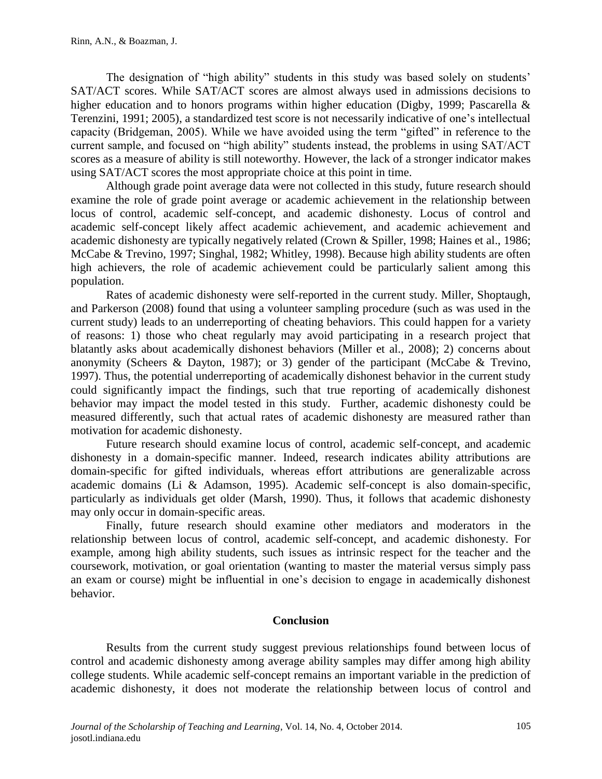The designation of "high ability" students in this study was based solely on students' SAT/ACT scores. While SAT/ACT scores are almost always used in admissions decisions to higher education and to honors programs within higher education (Digby, 1999; Pascarella & Terenzini, 1991; 2005), a standardized test score is not necessarily indicative of one's intellectual capacity (Bridgeman, 2005). While we have avoided using the term "gifted" in reference to the current sample, and focused on "high ability" students instead, the problems in using SAT/ACT scores as a measure of ability is still noteworthy. However, the lack of a stronger indicator makes using SAT/ACT scores the most appropriate choice at this point in time.

Although grade point average data were not collected in this study, future research should examine the role of grade point average or academic achievement in the relationship between locus of control, academic self-concept, and academic dishonesty. Locus of control and academic self-concept likely affect academic achievement, and academic achievement and academic dishonesty are typically negatively related (Crown & Spiller, 1998; Haines et al., 1986; McCabe & Trevino, 1997; Singhal, 1982; Whitley, 1998). Because high ability students are often high achievers, the role of academic achievement could be particularly salient among this population.

Rates of academic dishonesty were self-reported in the current study. Miller, Shoptaugh, and Parkerson (2008) found that using a volunteer sampling procedure (such as was used in the current study) leads to an underreporting of cheating behaviors. This could happen for a variety of reasons: 1) those who cheat regularly may avoid participating in a research project that blatantly asks about academically dishonest behaviors (Miller et al., 2008); 2) concerns about anonymity (Scheers & Dayton, 1987); or 3) gender of the participant (McCabe & Trevino, 1997). Thus, the potential underreporting of academically dishonest behavior in the current study could significantly impact the findings, such that true reporting of academically dishonest behavior may impact the model tested in this study. Further, academic dishonesty could be measured differently, such that actual rates of academic dishonesty are measured rather than motivation for academic dishonesty.

Future research should examine locus of control, academic self-concept, and academic dishonesty in a domain-specific manner. Indeed, research indicates ability attributions are domain-specific for gifted individuals, whereas effort attributions are generalizable across academic domains (Li & Adamson, 1995). Academic self-concept is also domain-specific, particularly as individuals get older (Marsh, 1990). Thus, it follows that academic dishonesty may only occur in domain-specific areas.

Finally, future research should examine other mediators and moderators in the relationship between locus of control, academic self-concept, and academic dishonesty. For example, among high ability students, such issues as intrinsic respect for the teacher and the coursework, motivation, or goal orientation (wanting to master the material versus simply pass an exam or course) might be influential in one's decision to engage in academically dishonest behavior.

# **Conclusion**

Results from the current study suggest previous relationships found between locus of control and academic dishonesty among average ability samples may differ among high ability college students. While academic self-concept remains an important variable in the prediction of academic dishonesty, it does not moderate the relationship between locus of control and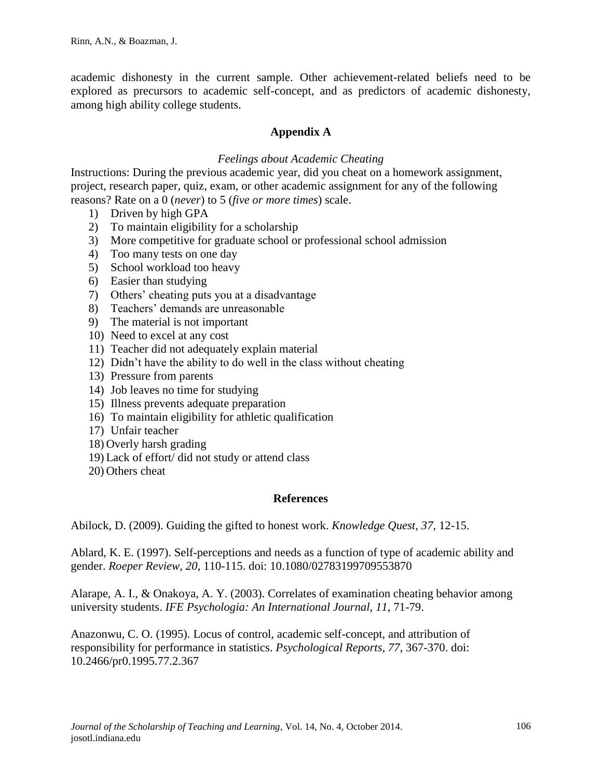academic dishonesty in the current sample. Other achievement-related beliefs need to be explored as precursors to academic self-concept, and as predictors of academic dishonesty, among high ability college students.

# **Appendix A**

# *Feelings about Academic Cheating*

Instructions: During the previous academic year, did you cheat on a homework assignment, project, research paper, quiz, exam, or other academic assignment for any of the following reasons? Rate on a 0 (*never*) to 5 (*five or more times*) scale.

- 1) Driven by high GPA
- 2) To maintain eligibility for a scholarship
- 3) More competitive for graduate school or professional school admission
- 4) Too many tests on one day
- 5) School workload too heavy
- 6) Easier than studying
- 7) Others' cheating puts you at a disadvantage
- 8) Teachers' demands are unreasonable
- 9) The material is not important
- 10) Need to excel at any cost
- 11) Teacher did not adequately explain material
- 12) Didn't have the ability to do well in the class without cheating
- 13) Pressure from parents
- 14) Job leaves no time for studying
- 15) Illness prevents adequate preparation
- 16) To maintain eligibility for athletic qualification
- 17) Unfair teacher
- 18) Overly harsh grading
- 19) Lack of effort/ did not study or attend class
- 20) Others cheat

## **References**

Abilock, D. (2009). Guiding the gifted to honest work. *Knowledge Quest, 37*, 12-15.

Ablard, K. E. (1997). Self-perceptions and needs as a function of type of academic ability and gender. *Roeper Review, 20*, 110-115. doi: 10.1080/02783199709553870

Alarape, A. I., & Onakoya, A. Y. (2003). Correlates of examination cheating behavior among university students. *IFE Psychologia: An International Journal, 11*, 71-79.

Anazonwu, C. O. (1995). Locus of control, academic self-concept, and attribution of responsibility for performance in statistics. *Psychological Reports, 77,* 367-370. doi: 10.2466/pr0.1995.77.2.367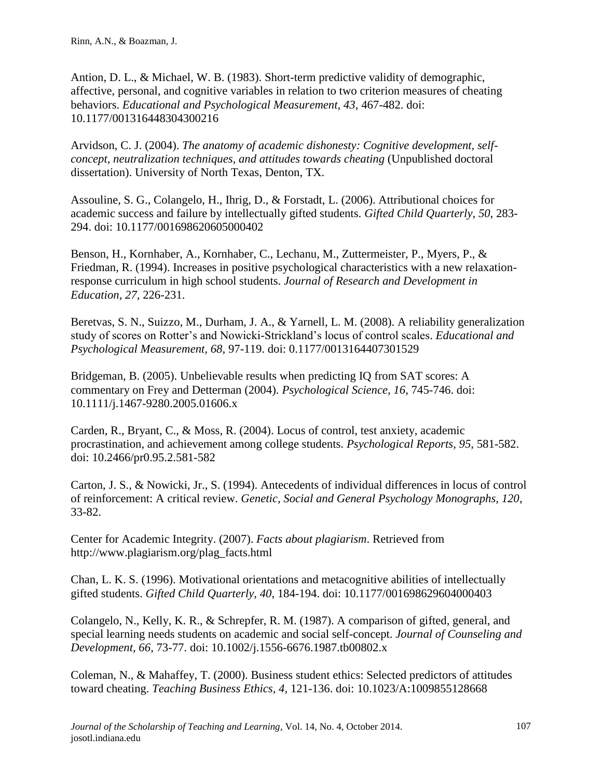Antion, D. L., & Michael, W. B. (1983). Short-term predictive validity of demographic, affective, personal, and cognitive variables in relation to two criterion measures of cheating behaviors. *Educational and Psychological Measurement, 43*, 467-482. doi: 10.1177/001316448304300216

Arvidson, C. J. (2004). *The anatomy of academic dishonesty: Cognitive development, selfconcept, neutralization techniques, and attitudes towards cheating* (Unpublished doctoral dissertation). University of North Texas, Denton, TX.

Assouline, S. G., Colangelo, H., Ihrig, D., & Forstadt, L. (2006). Attributional choices for academic success and failure by intellectually gifted students. *Gifted Child Quarterly, 50*, 283- 294. doi: 10.1177/001698620605000402

Benson, H., Kornhaber, A., Kornhaber, C., Lechanu, M., Zuttermeister, P., Myers, P., & Friedman, R. (1994). Increases in positive psychological characteristics with a new relaxationresponse curriculum in high school students. *Journal of Research and Development in Education, 27,* 226-231.

Beretvas, S. N., Suizzo, M., Durham, J. A., & Yarnell, L. M. (2008). A reliability generalization study of scores on Rotter's and Nowicki-Strickland's locus of control scales. *Educational and Psychological Measurement, 68*, 97-119. doi: 0.1177/0013164407301529

Bridgeman, B. (2005). Unbelievable results when predicting IQ from SAT scores: A commentary on Frey and Detterman (2004). *Psychological Science, 16*, 745-746. doi: 10.1111/j.1467-9280.2005.01606.x

Carden, R., Bryant, C., & Moss, R. (2004). Locus of control, test anxiety, academic procrastination, and achievement among college students. *Psychological Reports*, *95*, 581-582. doi: 10.2466/pr0.95.2.581-582

Carton, J. S., & Nowicki, Jr., S. (1994). Antecedents of individual differences in locus of control of reinforcement: A critical review. *Genetic, Social and General Psychology Monographs, 120*, 33-82.

Center for Academic Integrity. (2007). *Facts about plagiarism*. Retrieved from http://www.plagiarism.org/plag\_facts.html

Chan, L. K. S. (1996). Motivational orientations and metacognitive abilities of intellectually gifted students. *Gifted Child Quarterly*, *40*, 184-194. doi: 10.1177/001698629604000403

Colangelo, N., Kelly, K. R., & Schrepfer, R. M. (1987). A comparison of gifted, general, and special learning needs students on academic and social self-concept. *Journal of Counseling and Development, 66*, 73-77. doi: 10.1002/j.1556-6676.1987.tb00802.x

Coleman, N., & Mahaffey, T. (2000). Business student ethics: Selected predictors of attitudes toward cheating. *Teaching Business Ethics, 4*, 121-136. doi: 10.1023/A:1009855128668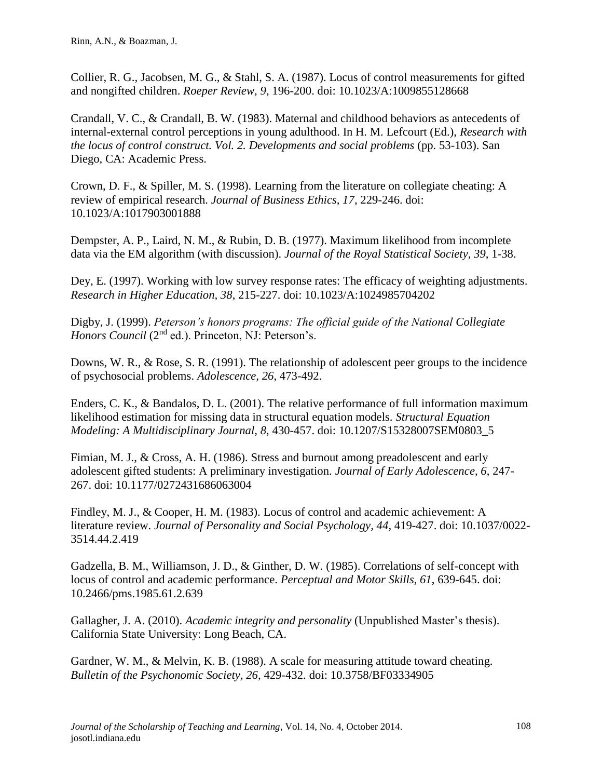Collier, R. G., Jacobsen, M. G., & Stahl, S. A. (1987). Locus of control measurements for gifted and nongifted children. *Roeper Review, 9*, 196-200. doi: 10.1023/A:1009855128668

Crandall, V. C., & Crandall, B. W. (1983). Maternal and childhood behaviors as antecedents of internal-external control perceptions in young adulthood. In H. M. Lefcourt (Ed.), *Research with the locus of control construct. Vol. 2. Developments and social problems (pp. 53-103). San* Diego, CA: Academic Press.

Crown, D. F., & Spiller, M. S. (1998). Learning from the literature on collegiate cheating: A review of empirical research. *Journal of Business Ethics, 17*, 229-246. doi: 10.1023/A:1017903001888

Dempster, A. P., Laird, N. M., & Rubin, D. B. (1977). Maximum likelihood from incomplete data via the EM algorithm (with discussion). *Journal of the Royal Statistical Society, 39,* 1-38.

Dey, E. (1997). Working with low survey response rates: The efficacy of weighting adjustments. *Research in Higher Education, 38*, 215-227. doi: 10.1023/A:1024985704202

Digby, J. (1999). *Peterson's honors programs: The official guide of the National Collegiate Honors Council* (2<sup>nd</sup> ed.). Princeton, NJ: Peterson's.

Downs, W. R., & Rose, S. R. (1991). The relationship of adolescent peer groups to the incidence of psychosocial problems. *Adolescence, 26*, 473-492.

Enders, C. K., & Bandalos, D. L. (2001). The relative performance of full information maximum likelihood estimation for missing data in structural equation models. *Structural Equation Modeling: A Multidisciplinary Journal, 8,* 430-457. doi: 10.1207/S15328007SEM0803\_5

Fimian, M. J., & Cross, A. H. (1986). Stress and burnout among preadolescent and early adolescent gifted students: A preliminary investigation. *Journal of Early Adolescence, 6*, 247- 267. doi: 10.1177/0272431686063004

Findley, M. J., & Cooper, H. M. (1983). Locus of control and academic achievement: A literature review. *Journal of Personality and Social Psychology, 44*, 419-427. doi: 10.1037/0022- 3514.44.2.419

Gadzella, B. M., Williamson, J. D., & Ginther, D. W. (1985). Correlations of self-concept with locus of control and academic performance. *Perceptual and Motor Skills, 61*, 639-645. doi: 10.2466/pms.1985.61.2.639

Gallagher, J. A. (2010). *Academic integrity and personality* (Unpublished Master's thesis). California State University: Long Beach, CA.

Gardner, W. M., & Melvin, K. B. (1988). A scale for measuring attitude toward cheating. *Bulletin of the Psychonomic Society, 26,* 429-432. doi: 10.3758/BF03334905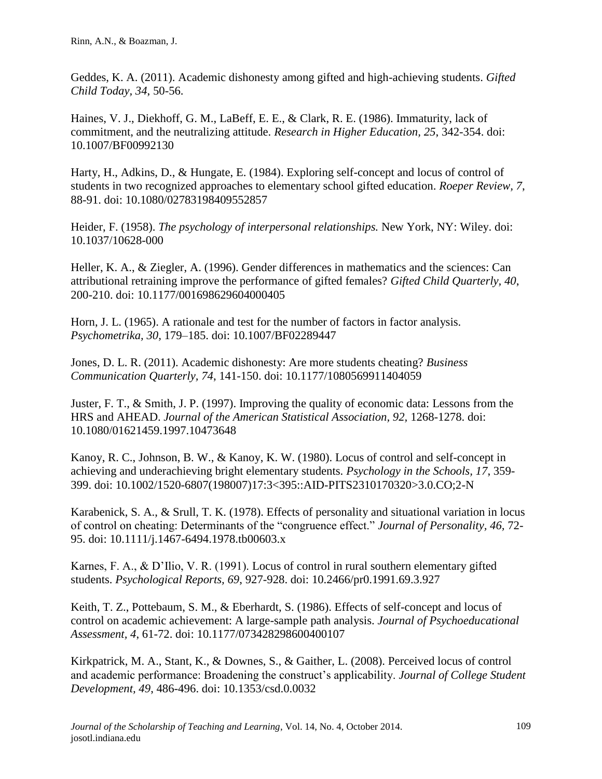Geddes, K. A. (2011). Academic dishonesty among gifted and high-achieving students. *Gifted Child Today, 34*, 50-56.

Haines, V. J., Diekhoff, G. M., LaBeff, E. E., & Clark, R. E. (1986). Immaturity, lack of commitment, and the neutralizing attitude. *Research in Higher Education, 25*, 342-354. doi: 10.1007/BF00992130

Harty, H., Adkins, D., & Hungate, E. (1984). Exploring self-concept and locus of control of students in two recognized approaches to elementary school gifted education. *Roeper Review, 7*, 88-91. doi: 10.1080/02783198409552857

Heider, F. (1958). *The psychology of interpersonal relationships.* New York, NY: Wiley. doi: 10.1037/10628-000

Heller, K. A., & Ziegler, A. (1996). Gender differences in mathematics and the sciences: Can attributional retraining improve the performance of gifted females? *Gifted Child Quarterly, 40*, 200-210. doi: 10.1177/001698629604000405

Horn, J. L. (1965). A rationale and test for the number of factors in factor analysis. *Psychometrika, 30,* 179–185. doi: 10.1007/BF02289447

Jones, D. L. R. (2011). Academic dishonesty: Are more students cheating? *Business Communication Quarterly, 74*, 141-150. doi: 10.1177/1080569911404059

Juster, F. T., & Smith, J. P. (1997). Improving the quality of economic data: Lessons from the HRS and AHEAD. *Journal of the American Statistical Association*, 92, 1268-1278. doi: 10.1080/01621459.1997.10473648

Kanoy, R. C., Johnson, B. W., & Kanoy, K. W. (1980). Locus of control and self-concept in achieving and underachieving bright elementary students. *Psychology in the Schools, 17*, 359- 399. doi: 10.1002/1520-6807(198007)17:3<395::AID-PITS2310170320>3.0.CO;2-N

Karabenick, S. A., & Srull, T. K. (1978). Effects of personality and situational variation in locus of control on cheating: Determinants of the "congruence effect." *Journal of Personality, 46,* 72- 95. doi: 10.1111/j.1467-6494.1978.tb00603.x

Karnes, F. A., & D'Ilio, V. R. (1991). Locus of control in rural southern elementary gifted students. *Psychological Reports, 69*, 927-928. doi: 10.2466/pr0.1991.69.3.927

Keith, T. Z., Pottebaum, S. M., & Eberhardt, S. (1986). Effects of self-concept and locus of control on academic achievement: A large-sample path analysis. *Journal of Psychoeducational Assessment, 4*, 61-72. doi: 10.1177/073428298600400107

Kirkpatrick, M. A., Stant, K., & Downes, S., & Gaither, L. (2008). Perceived locus of control and academic performance: Broadening the construct's applicability. *Journal of College Student Development, 49*, 486-496. doi: 10.1353/csd.0.0032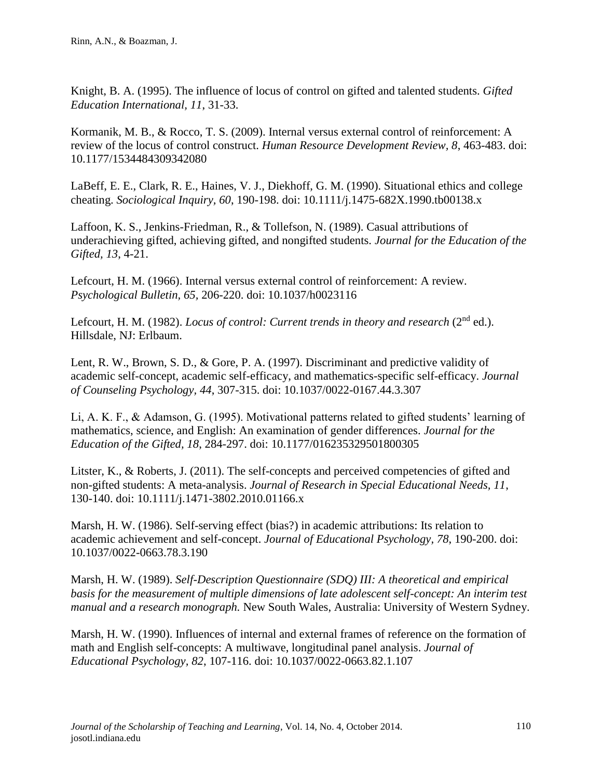Knight, B. A. (1995). The influence of locus of control on gifted and talented students. *Gifted Education International, 11*, 31-33.

Kormanik, M. B., & Rocco, T. S. (2009). Internal versus external control of reinforcement: A review of the locus of control construct. *Human Resource Development Review, 8*, 463-483. doi: 10.1177/1534484309342080

LaBeff, E. E., Clark, R. E., Haines, V. J., Diekhoff, G. M. (1990). Situational ethics and college cheating. *Sociological Inquiry, 60*, 190-198. doi: 10.1111/j.1475-682X.1990.tb00138.x

Laffoon, K. S., Jenkins-Friedman, R., & Tollefson, N. (1989). Casual attributions of underachieving gifted, achieving gifted, and nongifted students. *Journal for the Education of the Gifted, 13*, 4-21.

Lefcourt, H. M. (1966). Internal versus external control of reinforcement: A review. *Psychological Bulletin, 65,* 206-220. doi: 10.1037/h0023116

Lefcourt, H. M. (1982). *Locus of control: Current trends in theory and research* (2<sup>nd</sup> ed.). Hillsdale, NJ: Erlbaum.

Lent, R. W., Brown, S. D., & Gore, P. A. (1997). Discriminant and predictive validity of academic self-concept, academic self-efficacy, and mathematics-specific self-efficacy. *Journal of Counseling Psychology, 44*, 307-315. doi: 10.1037/0022-0167.44.3.307

Li, A. K. F., & Adamson, G. (1995). Motivational patterns related to gifted students' learning of mathematics, science, and English: An examination of gender differences. *Journal for the Education of the Gifted, 18*, 284-297. doi: 10.1177/016235329501800305

Litster, K., & Roberts, J. (2011). The self-concepts and perceived competencies of gifted and non-gifted students: A meta-analysis. *Journal of Research in Special Educational Needs, 11*, 130-140. doi: 10.1111/j.1471-3802.2010.01166.x

Marsh, H. W. (1986). Self-serving effect (bias?) in academic attributions: Its relation to academic achievement and self-concept. *Journal of Educational Psychology, 78*, 190-200. doi: 10.1037/0022-0663.78.3.190

Marsh, H. W. (1989). *Self-Description Questionnaire (SDQ) III: A theoretical and empirical basis for the measurement of multiple dimensions of late adolescent self-concept: An interim test manual and a research monograph.* New South Wales, Australia: University of Western Sydney.

Marsh, H. W. (1990). Influences of internal and external frames of reference on the formation of math and English self-concepts: A multiwave, longitudinal panel analysis. *Journal of Educational Psychology, 82*, 107-116. doi: 10.1037/0022-0663.82.1.107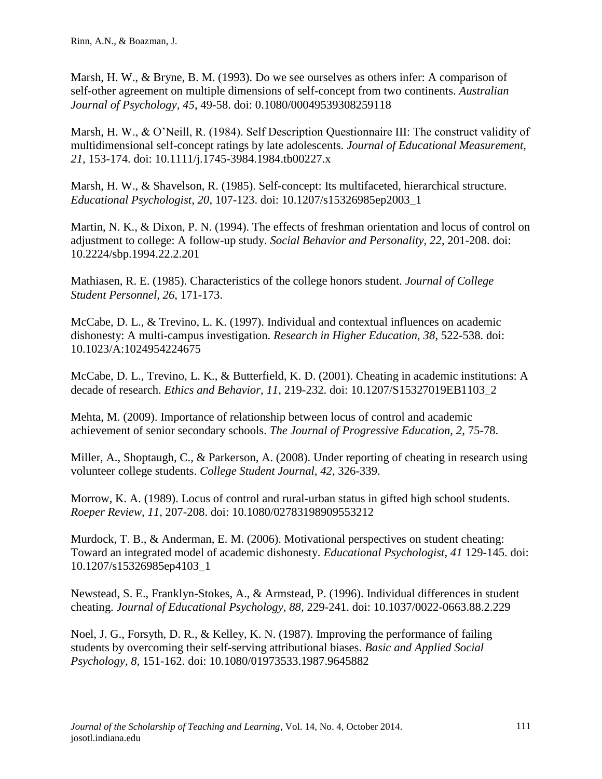Marsh, H. W., & Bryne, B. M. (1993). Do we see ourselves as others infer: A comparison of self-other agreement on multiple dimensions of self-concept from two continents. *Australian Journal of Psychology, 45*, 49-58. doi: 0.1080/00049539308259118

Marsh, H. W., & O'Neill, R. (1984). Self Description Questionnaire III: The construct validity of multidimensional self-concept ratings by late adolescents. *Journal of Educational Measurement, 21,* 153-174. doi: 10.1111/j.1745-3984.1984.tb00227.x

Marsh, H. W., & Shavelson, R. (1985). Self-concept: Its multifaceted, hierarchical structure. *Educational Psychologist, 20*, 107-123. doi: 10.1207/s15326985ep2003\_1

Martin, N. K., & Dixon, P. N. (1994). The effects of freshman orientation and locus of control on adjustment to college: A follow-up study. *Social Behavior and Personality, 22*, 201-208. doi: 10.2224/sbp.1994.22.2.201

Mathiasen, R. E. (1985). Characteristics of the college honors student. *Journal of College Student Personnel, 26*, 171-173.

McCabe, D. L., & Trevino, L. K. (1997). Individual and contextual influences on academic dishonesty: A multi-campus investigation. *Research in Higher Education, 38*, 522-538. doi: 10.1023/A:1024954224675

McCabe, D. L., Trevino, L. K., & Butterfield, K. D. (2001). Cheating in academic institutions: A decade of research. *Ethics and Behavior, 11*, 219-232. doi: 10.1207/S15327019EB1103\_2

Mehta, M. (2009). Importance of relationship between locus of control and academic achievement of senior secondary schools. *The Journal of Progressive Education, 2*, 75-78.

Miller, A., Shoptaugh, C., & Parkerson, A. (2008). Under reporting of cheating in research using volunteer college students. *College Student Journal, 42*, 326-339.

Morrow, K. A. (1989). Locus of control and rural-urban status in gifted high school students. *Roeper Review, 11,* 207-208. doi: 10.1080/02783198909553212

Murdock, T. B., & Anderman, E. M. (2006). Motivational perspectives on student cheating: Toward an integrated model of academic dishonesty. *Educational Psychologist, 41* 129-145. doi: 10.1207/s15326985ep4103\_1

Newstead, S. E., Franklyn-Stokes, A., & Armstead, P. (1996). Individual differences in student cheating. *Journal of Educational Psychology, 88*, 229-241. doi: 10.1037/0022-0663.88.2.229

Noel, J. G., Forsyth, D. R., & Kelley, K. N. (1987). Improving the performance of failing students by overcoming their self-serving attributional biases. *Basic and Applied Social Psychology, 8*, 151-162. doi: 10.1080/01973533.1987.9645882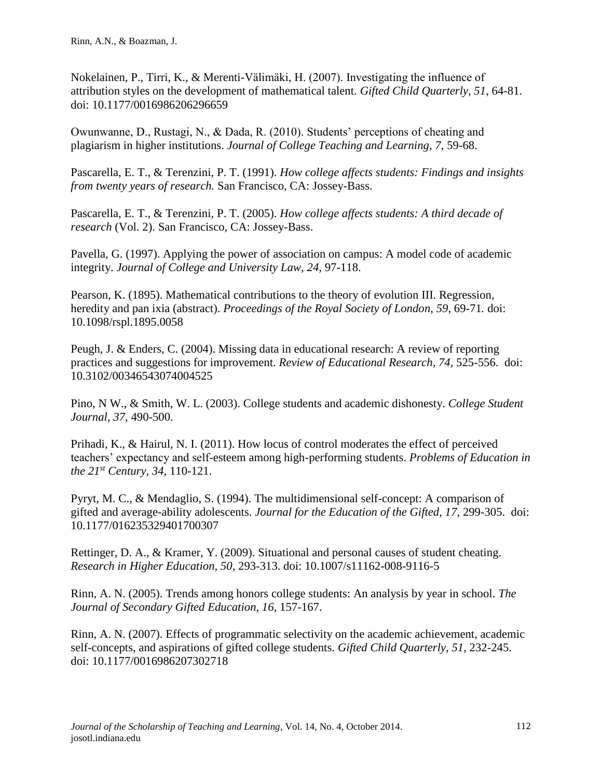Nokelainen, P., Tirri, K., & Merenti-Vӓlimӓki, H. (2007). Investigating the influence of attribution styles on the development of mathematical talent. *Gifted Child Quarterly, 51*, 64-81. doi: 10.1177/0016986206296659

Owunwanne, D., Rustagi, N., & Dada, R. (2010). Students' perceptions of cheating and plagiarism in higher institutions. *Journal of College Teaching and Learning, 7*, 59-68.

Pascarella, E. T., & Terenzini, P. T. (1991). *How college affects students: Findings and insights from twenty years of research.* San Francisco, CA: Jossey-Bass.

Pascarella, E. T., & Terenzini, P. T. (2005). *How college affects students: A third decade of research* (Vol. 2). San Francisco, CA: Jossey-Bass.

Pavella, G. (1997). Applying the power of association on campus: A model code of academic integrity. *Journal of College and University Law, 24,* 97-118.

Pearson, K. (1895). Mathematical contributions to the theory of evolution III. Regression, heredity and pan ixia (abstract). *Proceedings of the Royal Society of London, 59,* 69-71*.* doi: 10.1098/rspl.1895.0058

Peugh, J. & Enders, C. (2004). Missing data in educational research: A review of reporting practices and suggestions for improvement. *Review of Educational Research, 74,* 525-556. doi: 10.3102/00346543074004525

Pino, N W., & Smith, W. L. (2003). College students and academic dishonesty. *College Student Journal, 37,* 490-500.

Prihadi, K., & Hairul, N. I. (2011). How locus of control moderates the effect of perceived teachers' expectancy and self-esteem among high-performing students. *Problems of Education in the 21st Century, 34*, 110-121.

Pyryt, M. C., & Mendaglio, S. (1994). The multidimensional self-concept: A comparison of gifted and average-ability adolescents. *Journal for the Education of the Gifted, 17*, 299-305. doi: 10.1177/016235329401700307

Rettinger, D. A., & Kramer, Y. (2009). Situational and personal causes of student cheating. *Research in Higher Education, 50*, 293-313. doi: 10.1007/s11162-008-9116-5

Rinn, A. N. (2005). Trends among honors college students: An analysis by year in school*. The Journal of Secondary Gifted Education, 16*, 157-167.

Rinn, A. N. (2007). Effects of programmatic selectivity on the academic achievement, academic self-concepts, and aspirations of gifted college students. *Gifted Child Quarterly, 51*, 232-245. doi: 10.1177/0016986207302718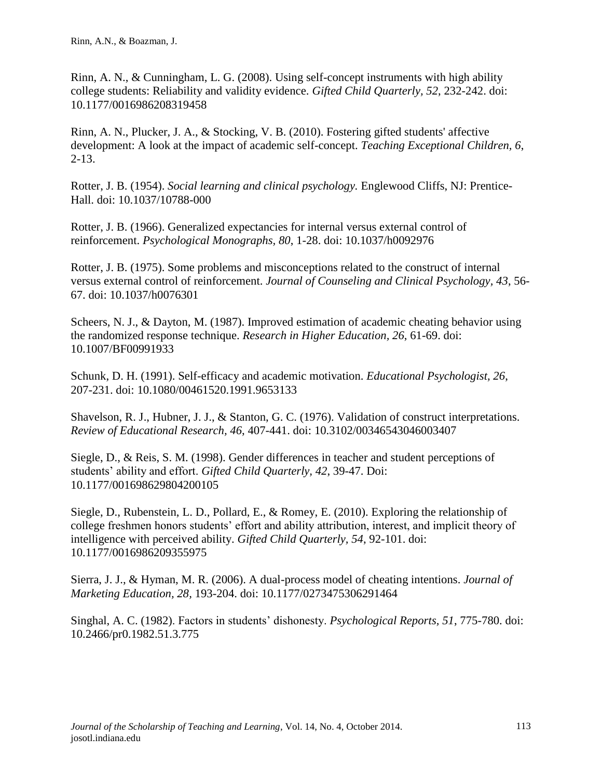Rinn, A. N., & Cunningham, L. G. (2008). Using self-concept instruments with high ability college students: Reliability and validity evidence. *Gifted Child Quarterly, 52*, 232-242. doi: 10.1177/0016986208319458

Rinn, A. N., Plucker, J. A., & Stocking, V. B. (2010). Fostering gifted students' affective development: A look at the impact of academic self-concept. *Teaching Exceptional Children, 6*, 2-13.

Rotter, J. B. (1954). *Social learning and clinical psychology.* Englewood Cliffs, NJ: Prentice-Hall. doi: 10.1037/10788-000

Rotter, J. B. (1966). Generalized expectancies for internal versus external control of reinforcement. *Psychological Monographs, 80*, 1-28. doi: 10.1037/h0092976

Rotter, J. B. (1975). Some problems and misconceptions related to the construct of internal versus external control of reinforcement. *Journal of Counseling and Clinical Psychology, 43*, 56- 67. doi: 10.1037/h0076301

Scheers, N. J., & Dayton, M. (1987). Improved estimation of academic cheating behavior using the randomized response technique. *Research in Higher Education, 26*, 61-69. doi: 10.1007/BF00991933

Schunk, D. H. (1991). Self-efficacy and academic motivation. *Educational Psychologist, 26*, 207-231. doi: 10.1080/00461520.1991.9653133

Shavelson, R. J., Hubner, J. J., & Stanton, G. C. (1976). Validation of construct interpretations. *Review of Educational Research, 46*, 407-441. doi: 10.3102/00346543046003407

Siegle, D., & Reis, S. M. (1998). Gender differences in teacher and student perceptions of students' ability and effort. *Gifted Child Quarterly, 42*, 39-47. Doi: 10.1177/001698629804200105

Siegle, D., Rubenstein, L. D., Pollard, E., & Romey, E. (2010). Exploring the relationship of college freshmen honors students' effort and ability attribution, interest, and implicit theory of intelligence with perceived ability. *Gifted Child Quarterly, 54*, 92-101. doi: 10.1177/0016986209355975

Sierra, J. J., & Hyman, M. R. (2006). A dual-process model of cheating intentions. *Journal of Marketing Education, 28,* 193-204. doi: 10.1177/0273475306291464

Singhal, A. C. (1982). Factors in students' dishonesty. *Psychological Reports, 51*, 775-780. doi: 10.2466/pr0.1982.51.3.775